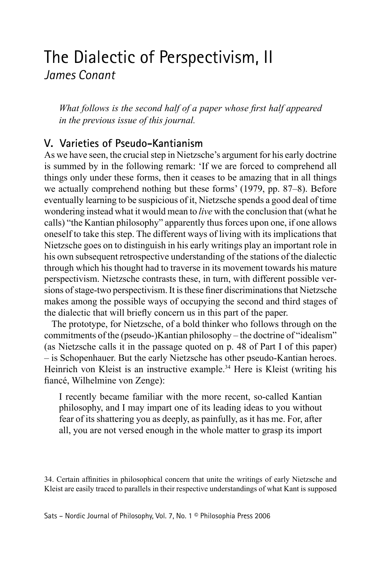# The Dialectic of Perspectivism, II *James Conant*

*What follows is the second half of a paper whose first half appeared in the previous issue of this journal.*

#### **V. Varieties of Pseudo-Kantianism**

As we have seen, the crucial step in Nietzsche's argument for his early doctrine is summed by in the following remark: 'If we are forced to comprehend all things only under these forms, then it ceases to be amazing that in all things we actually comprehend nothing but these forms' (1979, pp. 87–8). Before eventually learning to be suspicious of it, Nietzsche spends a good deal of time wondering instead what it would mean to *live* with the conclusion that (what he calls) "the Kantian philosophy" apparently thus forces upon one, if one allows oneself to take this step. The different ways of living with its implications that Nietzsche goes on to distinguish in his early writings play an important role in his own subsequent retrospective understanding of the stations of the dialectic through which his thought had to traverse in its movement towards his mature perspectivism. Nietzsche contrasts these, in turn, with different possible versions of stage-two perspectivism. It is these finer discriminations that Nietzsche makes among the possible ways of occupying the second and third stages of the dialectic that will briefly concern us in this part of the paper.

The prototype, for Nietzsche, of a bold thinker who follows through on the commitments of the (pseudo-)Kantian philosophy – the doctrine of "idealism" (as Nietzsche calls it in the passage quoted on p. 48 of Part I of this paper) – is Schopenhauer. But the early Nietzsche has other pseudo-Kantian heroes. Heinrich von Kleist is an instructive example.<sup>34</sup> Here is Kleist (writing his fiancé, Wilhelmine von Zenge):

I recently became familiar with the more recent, so-called Kantian philosophy, and I may impart one of its leading ideas to you without fear of its shattering you as deeply, as painfully, as it has me. For, after all, you are not versed enough in the whole matter to grasp its import

34. Certain affinities in philosophical concern that unite the writings of early Nietzsche and Kleist are easily traced to parallels in their respective understandings of what Kant is supposed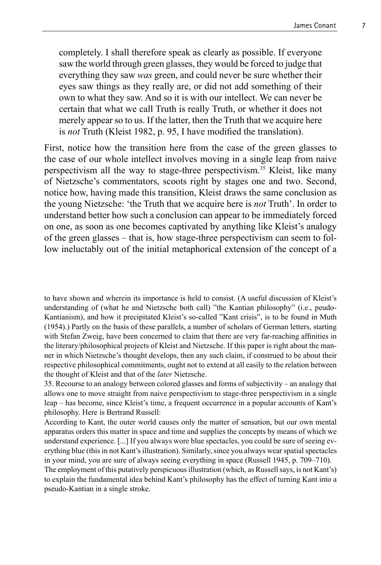completely. I shall therefore speak as clearly as possible. If everyone saw the world through green glasses, they would be forced to judge that everything they saw *was* green, and could never be sure whether their eyes saw things as they really are, or did not add something of their own to what they saw. And so it is with our intellect. We can never be certain that what we call Truth is really Truth, or whether it does not merely appear so to us. If the latter, then the Truth that we acquire here is *not* Truth (Kleist 1982, p. 95, I have modified the translation).

First, notice how the transition here from the case of the green glasses to the case of our whole intellect involves moving in a single leap from naive perspectivism all the way to stage-three perspectivism.35 Kleist, like many of Nietzsche's commentators, scoots right by stages one and two. Second, notice how, having made this transition, Kleist draws the same conclusion as the young Nietzsche: 'the Truth that we acquire here is *not* Truth'. In order to understand better how such a conclusion can appear to be immediately forced on one, as soon as one becomes captivated by anything like Kleist's analogy of the green glasses – that is, how stage-three perspectivism can seem to follow ineluctably out of the initial metaphorical extension of the concept of a

to have shown and wherein its importance is held to consist. (A useful discussion of Kleist's understanding of (what he and Nietzsche both call) "the Kantian philosophy" (i.e., peudo-Kantianism), and how it precipitated Kleist's so-called "Kant crisis", is to be found in Muth (1954).) Partly on the basis of these parallels, a number of scholars of German letters, starting with Stefan Zweig, have been concerned to claim that there are very far-reaching affinities in the literary/philosophical projects of Kleist and Nietzsche. If this paper is right about the manner in which Nietzsche's thought develops, then any such claim, if construed to be about their respective philosophical commitments, ought not to extend at all easily to the relation between the thought of Kleist and that of the *later* Nietzsche.

35. Recourse to an analogy between colored glasses and forms of subjectivity – an analogy that allows one to move straight from naive perspectivism to stage-three perspectivism in a single leap – has become, since Kleist's time, a frequent occurrence in a popular accounts of Kant's philosophy. Here is Bertrand Russell:

According to Kant, the outer world causes only the matter of sensation, but our own mental apparatus orders this matter in space and time and supplies the concepts by means of which we understand experience. [...] If you always wore blue spectacles, you could be sure of seeing everything blue (this in not Kant's illustration). Similarly, since you always wear spatial spectacles in your mind, you are sure of always seeing everything in space (Russell 1945, p. 709–710).

The employment of this putatively perspicuous illustration (which, as Russell says, is not Kant's) to explain the fundamental idea behind Kant's philosophy has the effect of turning Kant into a pseudo-Kantian in a single stroke.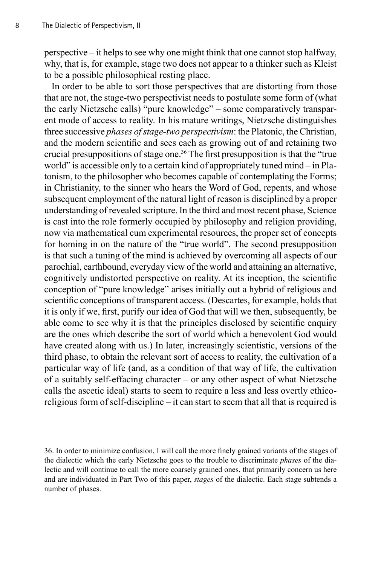perspective – it helps to see why one might think that one cannot stop halfway, why, that is, for example, stage two does not appear to a thinker such as Kleist to be a possible philosophical resting place.

In order to be able to sort those perspectives that are distorting from those that are not, the stage-two perspectivist needs to postulate some form of (what the early Nietzsche calls) "pure knowledge" – some comparatively transparent mode of access to reality. In his mature writings, Nietzsche distinguishes three successive *phases of stage-two perspectivism*: the Platonic, the Christian, and the modern scientific and sees each as growing out of and retaining two crucial presuppositions of stage one.36 The first presupposition is that the "true world" is accessible only to a certain kind of appropriately tuned mind – in Platonism, to the philosopher who becomes capable of contemplating the Forms; in Christianity, to the sinner who hears the Word of God, repents, and whose subsequent employment of the natural light of reason is disciplined by a proper understanding of revealed scripture. In the third and most recent phase, Science is cast into the role formerly occupied by philosophy and religion providing, now via mathematical cum experimental resources, the proper set of concepts for homing in on the nature of the "true world". The second presupposition is that such a tuning of the mind is achieved by overcoming all aspects of our parochial, earthbound, everyday view of the world and attaining an alternative, cognitively undistorted perspective on reality. At its inception, the scientific conception of "pure knowledge" arises initially out a hybrid of religious and scientific conceptions of transparent access. (Descartes, for example, holds that it is only if we, first, purify our idea of God that will we then, subsequently, be able come to see why it is that the principles disclosed by scientific enquiry are the ones which describe the sort of world which a benevolent God would have created along with us.) In later, increasingly scientistic, versions of the third phase, to obtain the relevant sort of access to reality, the cultivation of a particular way of life (and, as a condition of that way of life, the cultivation of a suitably self-effacing character – or any other aspect of what Nietzsche calls the ascetic ideal) starts to seem to require a less and less overtly ethicoreligious form of self-discipline – it can start to seem that all that is required is

36. In order to minimize confusion, I will call the more finely grained variants of the stages of the dialectic which the early Nietzsche goes to the trouble to discriminate *phases* of the dialectic and will continue to call the more coarsely grained ones, that primarily concern us here and are individuated in Part Two of this paper, *stages* of the dialectic. Each stage subtends a number of phases.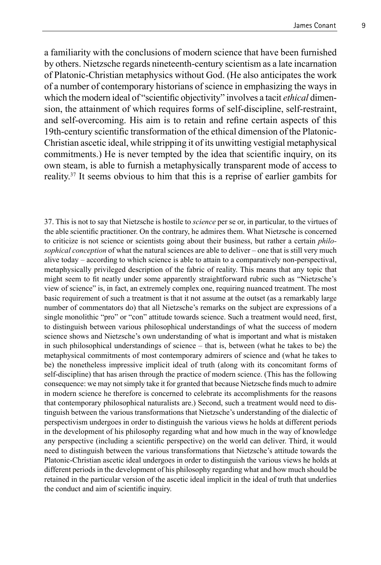a familiarity with the conclusions of modern science that have been furnished by others. Nietzsche regards nineteenth-century scientism as a late incarnation of Platonic-Christian metaphysics without God. (He also anticipates the work of a number of contemporary historians of science in emphasizing the ways in which the modern ideal of "scientific objectivity" involves a tacit *ethical* dimension, the attainment of which requires forms of self-discipline, self-restraint, and self-overcoming. His aim is to retain and refine certain aspects of this 19th-century scientific transformation of the ethical dimension of the Platonic-Christian ascetic ideal, while stripping it of its unwitting vestigial metaphysical commitments.) He is never tempted by the idea that scientific inquiry, on its own steam, is able to furnish a metaphysically transparent mode of access to reality.37 It seems obvious to him that this is a reprise of earlier gambits for

37. This is not to say that Nietzsche is hostile to *science* per se or, in particular, to the virtues of the able scientific practitioner. On the contrary, he admires them. What Nietzsche is concerned to criticize is not science or scientists going about their business, but rather a certain *philosophical conception* of what the natural sciences are able to deliver – one that is still very much alive today – according to which science is able to attain to a comparatively non-perspectival, metaphysically privileged description of the fabric of reality. This means that any topic that might seem to fit neatly under some apparently straightforward rubric such as "Nietzsche's view of science" is, in fact, an extremely complex one, requiring nuanced treatment. The most basic requirement of such a treatment is that it not assume at the outset (as a remarkably large number of commentators do) that all Nietzsche's remarks on the subject are expressions of a single monolithic "pro" or "con" attitude towards science. Such a treatment would need, first, to distinguish between various philosophical understandings of what the success of modern science shows and Nietzsche's own understanding of what is important and what is mistaken in such philosophical understandings of science – that is, between (what he takes to be) the metaphysical commitments of most contemporary admirers of science and (what he takes to be) the nonetheless impressive implicit ideal of truth (along with its concomitant forms of self-discipline) that has arisen through the practice of modern science. (This has the following consequence: we may not simply take it for granted that because Nietzsche finds much to admire in modern science he therefore is concerned to celebrate its accomplishments for the reasons that contemporary philosophical naturalists are.) Second, such a treatment would need to distinguish between the various transformations that Nietzsche's understanding of the dialectic of perspectivism undergoes in order to distinguish the various views he holds at different periods in the development of his philosophy regarding what and how much in the way of knowledge any perspective (including a scientific perspective) on the world can deliver. Third, it would need to distinguish between the various transformations that Nietzsche's attitude towards the Platonic-Christian ascetic ideal undergoes in order to distinguish the various views he holds at different periods in the development of his philosophy regarding what and how much should be retained in the particular version of the ascetic ideal implicit in the ideal of truth that underlies the conduct and aim of scientific inquiry.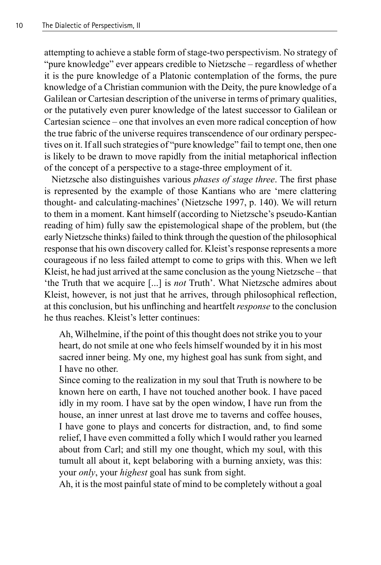attempting to achieve a stable form of stage-two perspectivism. No strategy of "pure knowledge" ever appears credible to Nietzsche – regardless of whether it is the pure knowledge of a Platonic contemplation of the forms, the pure knowledge of a Christian communion with the Deity, the pure knowledge of a Galilean or Cartesian description of the universe in terms of primary qualities, or the putatively even purer knowledge of the latest successor to Galilean or Cartesian science – one that involves an even more radical conception of how the true fabric of the universe requires transcendence of our ordinary perspectives on it. If all such strategies of "pure knowledge" fail to tempt one, then one is likely to be drawn to move rapidly from the initial metaphorical inflection of the concept of a perspective to a stage-three employment of it.

Nietzsche also distinguishes various *phases of stage three*. The first phase is represented by the example of those Kantians who are 'mere clattering thought- and calculating-machines' (Nietzsche 1997, p. 140). We will return to them in a moment. Kant himself (according to Nietzsche's pseudo-Kantian reading of him) fully saw the epistemological shape of the problem, but (the early Nietzsche thinks) failed to think through the question of the philosophical response that his own discovery called for. Kleist's response represents a more courageous if no less failed attempt to come to grips with this. When we left Kleist, he had just arrived at the same conclusion as the young Nietzsche – that 'the Truth that we acquire [...] is *not* Truth'. What Nietzsche admires about Kleist, however, is not just that he arrives, through philosophical reflection, at this conclusion, but his unflinching and heartfelt *response* to the conclusion he thus reaches. Kleist's letter continues:

Ah, Wilhelmine, if the point of this thought does not strike you to your heart, do not smile at one who feels himself wounded by it in his most sacred inner being. My one, my highest goal has sunk from sight, and I have no other.

Since coming to the realization in my soul that Truth is nowhere to be known here on earth, I have not touched another book. I have paced idly in my room. I have sat by the open window, I have run from the house, an inner unrest at last drove me to taverns and coffee houses, I have gone to plays and concerts for distraction, and, to find some relief, I have even committed a folly which I would rather you learned about from Carl; and still my one thought, which my soul, with this tumult all about it, kept belaboring with a burning anxiety, was this: your *only*, your *highest* goal has sunk from sight.

Ah, it is the most painful state of mind to be completely without a goal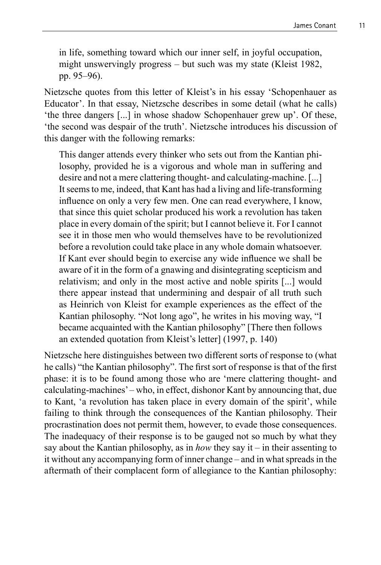in life, something toward which our inner self, in joyful occupation, might unswervingly progress – but such was my state (Kleist 1982, pp. 95–96).

Nietzsche quotes from this letter of Kleist's in his essay 'Schopenhauer as Educator'. In that essay, Nietzsche describes in some detail (what he calls) 'the three dangers [...] in whose shadow Schopenhauer grew up'. Of these, 'the second was despair of the truth'. Nietzsche introduces his discussion of this danger with the following remarks:

This danger attends every thinker who sets out from the Kantian philosophy, provided he is a vigorous and whole man in suffering and desire and not a mere clattering thought- and calculating-machine. [...] It seems to me, indeed, that Kant has had a living and life-transforming influence on only a very few men. One can read everywhere, I know, that since this quiet scholar produced his work a revolution has taken place in every domain of the spirit; but I cannot believe it. For I cannot see it in those men who would themselves have to be revolutionized before a revolution could take place in any whole domain whatsoever. If Kant ever should begin to exercise any wide influence we shall be aware of it in the form of a gnawing and disintegrating scepticism and relativism; and only in the most active and noble spirits [...] would there appear instead that undermining and despair of all truth such as Heinrich von Kleist for example experiences as the effect of the Kantian philosophy. "Not long ago", he writes in his moving way, "I became acquainted with the Kantian philosophy" [There then follows an extended quotation from Kleist's letter] (1997, p. 140)

Nietzsche here distinguishes between two different sorts of response to (what he calls) "the Kantian philosophy". The first sort of response is that of the first phase: it is to be found among those who are 'mere clattering thought- and calculating-machines' – who, in effect, dishonor Kant by announcing that, due to Kant, 'a revolution has taken place in every domain of the spirit', while failing to think through the consequences of the Kantian philosophy. Their procrastination does not permit them, however, to evade those consequences. The inadequacy of their response is to be gauged not so much by what they say about the Kantian philosophy, as in *how* they say it – in their assenting to it without any accompanying form of inner change – and in what spreads in the aftermath of their complacent form of allegiance to the Kantian philosophy: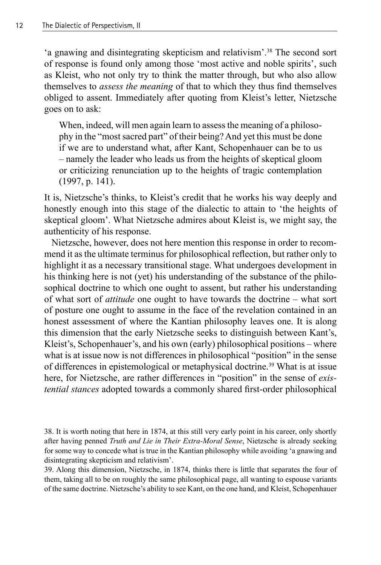'a gnawing and disintegrating skepticism and relativism'.38 The second sort of response is found only among those 'most active and noble spirits', such as Kleist, who not only try to think the matter through, but who also allow themselves to *assess the meaning* of that to which they thus find themselves obliged to assent. Immediately after quoting from Kleist's letter, Nietzsche goes on to ask:

When, indeed, will men again learn to assess the meaning of a philosophy in the "most sacred part" of their being? And yet this must be done if we are to understand what, after Kant, Schopenhauer can be to us – namely the leader who leads us from the heights of skeptical gloom or criticizing renunciation up to the heights of tragic contemplation (1997, p. 141).

It is, Nietzsche's thinks, to Kleist's credit that he works his way deeply and honestly enough into this stage of the dialectic to attain to 'the heights of skeptical gloom'. What Nietzsche admires about Kleist is, we might say, the authenticity of his response.

Nietzsche, however, does not here mention this response in order to recommend it as the ultimate terminus for philosophical reflection, but rather only to highlight it as a necessary transitional stage. What undergoes development in his thinking here is not (yet) his understanding of the substance of the philosophical doctrine to which one ought to assent, but rather his understanding of what sort of *attitude* one ought to have towards the doctrine – what sort of posture one ought to assume in the face of the revelation contained in an honest assessment of where the Kantian philosophy leaves one. It is along this dimension that the early Nietzsche seeks to distinguish between Kant's, Kleist's, Schopenhauer's, and his own (early) philosophical positions – where what is at issue now is not differences in philosophical "position" in the sense of differences in epistemological or metaphysical doctrine.39 What is at issue here, for Nietzsche, are rather differences in "position" in the sense of *existential stances* adopted towards a commonly shared first-order philosophical

39. Along this dimension, Nietzsche, in 1874, thinks there is little that separates the four of them, taking all to be on roughly the same philosophical page, all wanting to espouse variants of the same doctrine. Nietzsche's ability to see Kant, on the one hand, and Kleist, Schopenhauer

<sup>38.</sup> It is worth noting that here in 1874, at this still very early point in his career, only shortly after having penned *Truth and Lie in Their Extra-Moral Sense*, Nietzsche is already seeking for some way to concede what is true in the Kantian philosophy while avoiding 'a gnawing and disintegrating skepticism and relativism'.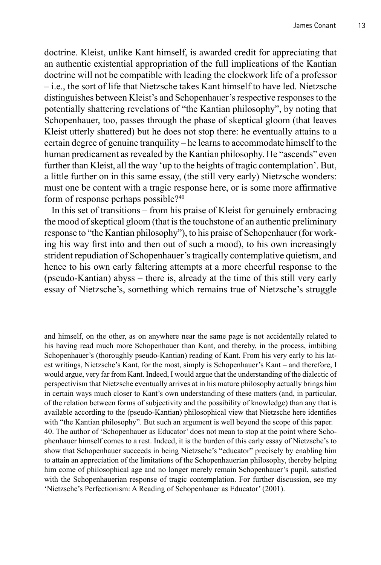doctrine. Kleist, unlike Kant himself, is awarded credit for appreciating that an authentic existential appropriation of the full implications of the Kantian doctrine will not be compatible with leading the clockwork life of a professor – i.e., the sort of life that Nietzsche takes Kant himself to have led. Nietzsche distinguishes between Kleist's and Schopenhauer's respective responses to the potentially shattering revelations of "the Kantian philosophy", by noting that Schopenhauer, too, passes through the phase of skeptical gloom (that leaves Kleist utterly shattered) but he does not stop there: he eventually attains to a certain degree of genuine tranquility – he learns to accommodate himself to the human predicament as revealed by the Kantian philosophy. He "ascends" even further than Kleist, all the way 'up to the heights of tragic contemplation'. But, a little further on in this same essay, (the still very early) Nietzsche wonders: must one be content with a tragic response here, or is some more affirmative form of response perhaps possible?40

In this set of transitions – from his praise of Kleist for genuinely embracing the mood of skeptical gloom (that is the touchstone of an authentic preliminary response to "the Kantian philosophy"), to his praise of Schopenhauer (for working his way first into and then out of such a mood), to his own increasingly strident repudiation of Schopenhauer's tragically contemplative quietism, and hence to his own early faltering attempts at a more cheerful response to the (pseudo-Kantian) abyss – there is, already at the time of this still very early essay of Nietzsche's, something which remains true of Nietzsche's struggle

and himself, on the other, as on anywhere near the same page is not accidentally related to his having read much more Schopenhauer than Kant, and thereby, in the process, imbibing Schopenhauer's (thoroughly pseudo-Kantian) reading of Kant. From his very early to his latest writings, Nietzsche's Kant, for the most, simply is Schopenhauer's Kant – and therefore, I would argue, very far from Kant. Indeed, I would argue that the understanding of the dialectic of perspectivism that Nietzsche eventually arrives at in his mature philosophy actually brings him in certain ways much closer to Kant's own understanding of these matters (and, in particular, of the relation between forms of subjectivity and the possibility of knowledge) than any that is available according to the (pseudo-Kantian) philosophical view that Nietzsche here identifies with "the Kantian philosophy". But such an argument is well beyond the scope of this paper. 40. The author of 'Schopenhauer as Educator' does not mean to stop at the point where Schophenhauer himself comes to a rest. Indeed, it is the burden of this early essay of Nietzsche's to show that Schopenhauer succeeds in being Nietzsche's "educator" precisely by enabling him to attain an appreciation of the limitations of the Schopenhauerian philosophy, thereby helping him come of philosophical age and no longer merely remain Schopenhauer's pupil, satisfied with the Schopenhauerian response of tragic contemplation. For further discussion, see my 'Nietzsche's Perfectionism: A Reading of Schopenhauer as Educator' (2001).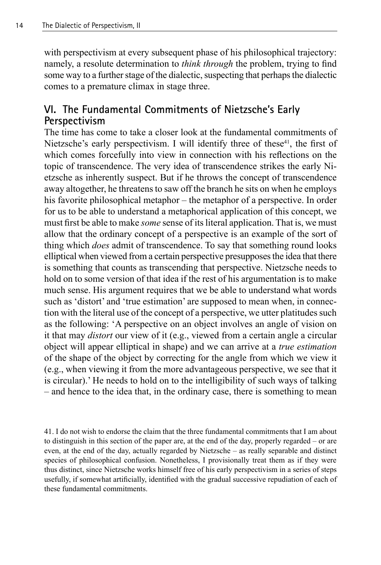with perspectivism at every subsequent phase of his philosophical trajectory: namely, a resolute determination to *think through* the problem, trying to find some way to a further stage of the dialectic, suspecting that perhaps the dialectic comes to a premature climax in stage three.

### **VI. The Fundamental Commitments of Nietzsche's Early Perspectivism**

The time has come to take a closer look at the fundamental commitments of Nietzsche's early perspectivism. I will identify three of these $41$ , the first of which comes forcefully into view in connection with his reflections on the topic of transcendence. The very idea of transcendence strikes the early Nietzsche as inherently suspect. But if he throws the concept of transcendence away altogether, he threatens to saw off the branch he sits on when he employs his favorite philosophical metaphor – the metaphor of a perspective. In order for us to be able to understand a metaphorical application of this concept, we must first be able to make *some* sense of its literal application. That is, we must allow that the ordinary concept of a perspective is an example of the sort of thing which *does* admit of transcendence. To say that something round looks elliptical when viewed from a certain perspective presupposes the idea that there is something that counts as transcending that perspective. Nietzsche needs to hold on to some version of that idea if the rest of his argumentation is to make much sense. His argument requires that we be able to understand what words such as 'distort' and 'true estimation' are supposed to mean when, in connection with the literal use of the concept of a perspective, we utter platitudes such as the following: 'A perspective on an object involves an angle of vision on it that may *distort* our view of it (e.g., viewed from a certain angle a circular object will appear elliptical in shape) and we can arrive at a *true estimation* of the shape of the object by correcting for the angle from which we view it (e.g., when viewing it from the more advantageous perspective, we see that it is circular).' He needs to hold on to the intelligibility of such ways of talking – and hence to the idea that, in the ordinary case, there is something to mean

41. I do not wish to endorse the claim that the three fundamental commitments that I am about to distinguish in this section of the paper are, at the end of the day, properly regarded – or are even, at the end of the day, actually regarded by Nietzsche – as really separable and distinct species of philosophical confusion. Nonetheless, I provisionally treat them as if they were thus distinct, since Nietzsche works himself free of his early perspectivism in a series of steps usefully, if somewhat artificially, identified with the gradual successive repudiation of each of these fundamental commitments.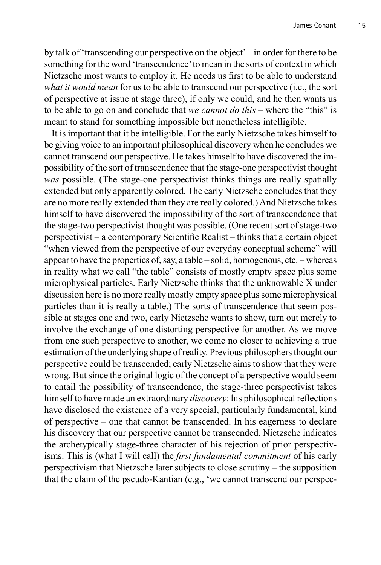by talk of 'transcending our perspective on the object' – in order for there to be something for the word 'transcendence' to mean in the sorts of context in which Nietzsche most wants to employ it. He needs us first to be able to understand *what it would mean* for us to be able to transcend our perspective (i.e., the sort of perspective at issue at stage three), if only we could, and he then wants us to be able to go on and conclude that *we cannot do this* – where the "this" is meant to stand for something impossible but nonetheless intelligible.

It is important that it be intelligible. For the early Nietzsche takes himself to be giving voice to an important philosophical discovery when he concludes we cannot transcend our perspective. He takes himself to have discovered the impossibility of the sort of transcendence that the stage-one perspectivist thought *was* possible. (The stage-one perspectivist thinks things are really spatially extended but only apparently colored. The early Nietzsche concludes that they are no more really extended than they are really colored.) And Nietzsche takes himself to have discovered the impossibility of the sort of transcendence that the stage-two perspectivist thought was possible. (One recent sort of stage-two perspectivist – a contemporary Scientific Realist – thinks that a certain object "when viewed from the perspective of our everyday conceptual scheme" will appear to have the properties of, say, a table – solid, homogenous, etc. – whereas in reality what we call "the table" consists of mostly empty space plus some microphysical particles. Early Nietzsche thinks that the unknowable X under discussion here is no more really mostly empty space plus some microphysical particles than it is really a table.) The sorts of transcendence that seem possible at stages one and two, early Nietzsche wants to show, turn out merely to involve the exchange of one distorting perspective for another. As we move from one such perspective to another, we come no closer to achieving a true estimation of the underlying shape of reality. Previous philosophers thought our perspective could be transcended; early Nietzsche aims to show that they were wrong. But since the original logic of the concept of a perspective would seem to entail the possibility of transcendence, the stage-three perspectivist takes himself to have made an extraordinary *discovery*: his philosophical reflections have disclosed the existence of a very special, particularly fundamental, kind of perspective – one that cannot be transcended. In his eagerness to declare his discovery that our perspective cannot be transcended, Nietzsche indicates the archetypically stage-three character of his rejection of prior perspectivisms. This is (what I will call) the *first fundamental commitment* of his early perspectivism that Nietzsche later subjects to close scrutiny – the supposition that the claim of the pseudo-Kantian (e.g., 'we cannot transcend our perspec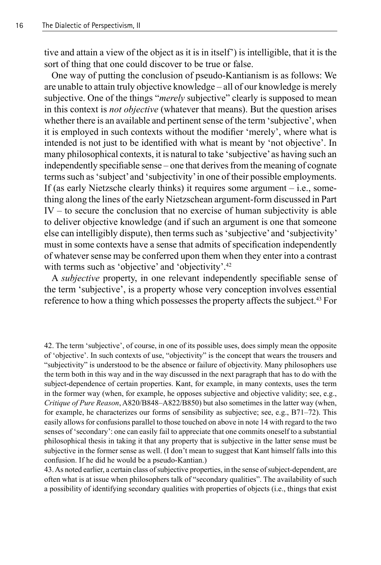tive and attain a view of the object as it is in itself') is intelligible, that it is the sort of thing that one could discover to be true or false.

One way of putting the conclusion of pseudo-Kantianism is as follows: We are unable to attain truly objective knowledge – all of our knowledge is merely subjective. One of the things "*merely* subjective" clearly is supposed to mean in this context is *not objective* (whatever that means). But the question arises whether there is an available and pertinent sense of the term 'subjective', when it is employed in such contexts without the modifier 'merely', where what is intended is not just to be identified with what is meant by 'not objective'. In many philosophical contexts, it is natural to take 'subjective' as having such an independently specifiable sense – one that derives from the meaning of cognate terms such as 'subject' and 'subjectivity' in one of their possible employments. If (as early Nietzsche clearly thinks) it requires some argument – i.e., something along the lines of the early Nietzschean argument-form discussed in Part IV – to secure the conclusion that no exercise of human subjectivity is able to deliver objective knowledge (and if such an argument is one that someone else can intelligibly dispute), then terms such as 'subjective' and 'subjectivity' must in some contexts have a sense that admits of specification independently of whatever sense may be conferred upon them when they enter into a contrast with terms such as 'objective' and 'objectivity'.<sup>42</sup>

A *subjective* property, in one relevant independently specifiable sense of the term 'subjective', is a property whose very conception involves essential reference to how a thing which possesses the property affects the subject.43 For

42. The term 'subjective', of course, in one of its possible uses, does simply mean the opposite of 'objective'. In such contexts of use, "objectivity" is the concept that wears the trousers and "subjectivity" is understood to be the absence or failure of objectivity. Many philosophers use the term both in this way and in the way discussed in the next paragraph that has to do with the subject-dependence of certain properties. Kant, for example, in many contexts, uses the term in the former way (when, for example, he opposes subjective and objective validity; see, e.g., *Critique of Pure Reason*, A820/B848–A822/B850) but also sometimes in the latter way (when, for example, he characterizes our forms of sensibility as subjective; see, e.g., B71–72). This easily allows for confusions parallel to those touched on above in note 14 with regard to the two senses of 'secondary': one can easily fail to appreciate that one commits oneself to a substantial philosophical thesis in taking it that any property that is subjective in the latter sense must be subjective in the former sense as well. (I don't mean to suggest that Kant himself falls into this confusion. If he did he would be a pseudo-Kantian.)

43. As noted earlier, a certain class of subjective properties, in the sense of subject-dependent, are often what is at issue when philosophers talk of "secondary qualities". The availability of such a possibility of identifying secondary qualities with properties of objects (i.e., things that exist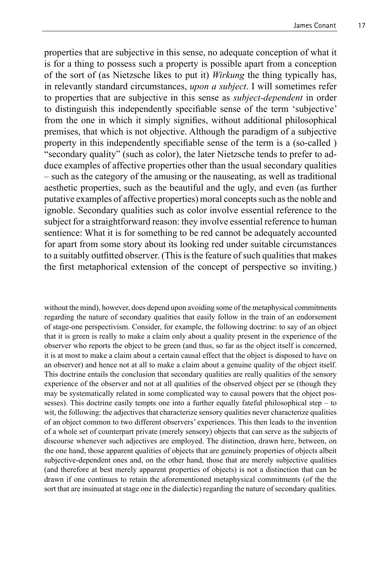properties that are subjective in this sense, no adequate conception of what it is for a thing to possess such a property is possible apart from a conception of the sort of (as Nietzsche likes to put it) *Wirkung* the thing typically has, in relevantly standard circumstances, *upon a subject*. I will sometimes refer to properties that are subjective in this sense as *subject-dependent* in order to distinguish this independently specifiable sense of the term 'subjective' from the one in which it simply signifies, without additional philosophical premises, that which is not objective. Although the paradigm of a subjective property in this independently specifiable sense of the term is a (so-called ) "secondary quality" (such as color), the later Nietzsche tends to prefer to adduce examples of affective properties other than the usual secondary qualities – such as the category of the amusing or the nauseating, as well as traditional aesthetic properties, such as the beautiful and the ugly, and even (as further putative examples of affective properties) moral concepts such as the noble and ignoble. Secondary qualities such as color involve essential reference to the subject for a straightforward reason: they involve essential reference to human sentience: What it is for something to be red cannot be adequately accounted for apart from some story about its looking red under suitable circumstances to a suitably outfitted observer. (This is the feature of such qualities that makes the first metaphorical extension of the concept of perspective so inviting.)

without the mind), however, does depend upon avoiding some of the metaphysical commitments regarding the nature of secondary qualities that easily follow in the train of an endorsement of stage-one perspectivism. Consider, for example, the following doctrine: to say of an object that it is green is really to make a claim only about a quality present in the experience of the observer who reports the object to be green (and thus, so far as the object itself is concerned, it is at most to make a claim about a certain causal effect that the object is disposed to have on an observer) and hence not at all to make a claim about a genuine quality of the object itself. This doctrine entails the conclusion that secondary qualities are really qualities of the sensory experience of the observer and not at all qualities of the observed object per se (though they may be systematically related in some complicated way to causal powers that the object possesses). This doctrine easily tempts one into a further equally fateful philosophical step – to wit, the following: the adjectives that characterize sensory qualities never characterize qualities of an object common to two different observers' experiences. This then leads to the invention of a whole set of counterpart private (merely sensory) objects that can serve as the subjects of discourse whenever such adjectives are employed. The distinction, drawn here, between, on the one hand, those apparent qualities of objects that are genuinely properties of objects albeit subjective-dependent ones and, on the other hand, those that are merely subjective qualities (and therefore at best merely apparent properties of objects) is not a distinction that can be drawn if one continues to retain the aforementioned metaphysical commitments (of the the sort that are insinuated at stage one in the dialectic) regarding the nature of secondary qualities.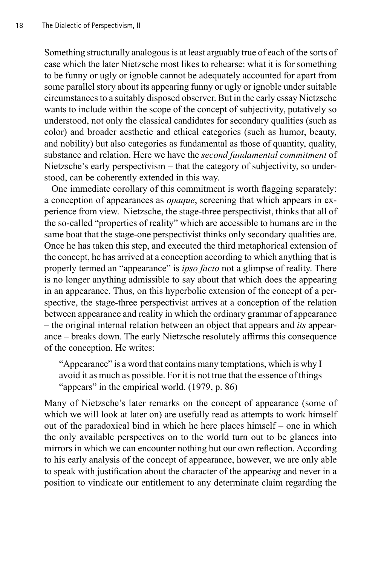Something structurally analogous is at least arguably true of each of the sorts of case which the later Nietzsche most likes to rehearse: what it is for something to be funny or ugly or ignoble cannot be adequately accounted for apart from some parallel story about its appearing funny or ugly or ignoble under suitable circumstances to a suitably disposed observer. But in the early essay Nietzsche wants to include within the scope of the concept of subjectivity, putatively so understood, not only the classical candidates for secondary qualities (such as color) and broader aesthetic and ethical categories (such as humor, beauty, and nobility) but also categories as fundamental as those of quantity, quality, substance and relation. Here we have the *second fundamental commitment* of Nietzsche's early perspectivism – that the category of subjectivity, so understood, can be coherently extended in this way.

One immediate corollary of this commitment is worth flagging separately: a conception of appearances as *opaque*, screening that which appears in experience from view. Nietzsche, the stage-three perspectivist, thinks that all of the so-called "properties of reality" which are accessible to humans are in the same boat that the stage-one perspectivist thinks only secondary qualities are. Once he has taken this step, and executed the third metaphorical extension of the concept, he has arrived at a conception according to which anything that is properly termed an "appearance" is *ipso facto* not a glimpse of reality. There is no longer anything admissible to say about that which does the appearing in an appearance. Thus, on this hyperbolic extension of the concept of a perspective, the stage-three perspectivist arrives at a conception of the relation between appearance and reality in which the ordinary grammar of appearance – the original internal relation between an object that appears and *its* appearance – breaks down. The early Nietzsche resolutely affirms this consequence of the conception. He writes:

"Appearance" is a word that contains many temptations, which is why I avoid it as much as possible. For it is not true that the essence of things "appears" in the empirical world. (1979, p. 86)

Many of Nietzsche's later remarks on the concept of appearance (some of which we will look at later on) are usefully read as attempts to work himself out of the paradoxical bind in which he here places himself – one in which the only available perspectives on to the world turn out to be glances into mirrors in which we can encounter nothing but our own reflection. According to his early analysis of the concept of appearance, however, we are only able to speak with justification about the character of the appear*ing* and never in a position to vindicate our entitlement to any determinate claim regarding the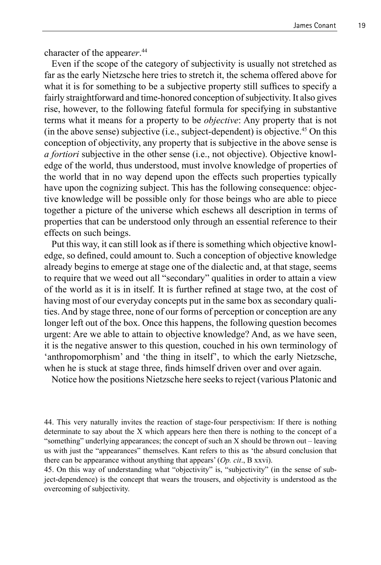character of the appear*er*. 44

Even if the scope of the category of subjectivity is usually not stretched as far as the early Nietzsche here tries to stretch it, the schema offered above for what it is for something to be a subjective property still suffices to specify a fairly straightforward and time-honored conception of subjectivity. It also gives rise, however, to the following fateful formula for specifying in substantive terms what it means for a property to be *objective*: Any property that is not (in the above sense) subjective (i.e., subject-dependent) is objective.<sup>45</sup> On this conception of objectivity, any property that is subjective in the above sense is *a fortiori* subjective in the other sense (i.e., not objective). Objective knowledge of the world, thus understood, must involve knowledge of properties of the world that in no way depend upon the effects such properties typically have upon the cognizing subject. This has the following consequence: objective knowledge will be possible only for those beings who are able to piece together a picture of the universe which eschews all description in terms of properties that can be understood only through an essential reference to their effects on such beings.

Put this way, it can still look as if there is something which objective knowledge, so defined, could amount to. Such a conception of objective knowledge already begins to emerge at stage one of the dialectic and, at that stage, seems to require that we weed out all "secondary" qualities in order to attain a view of the world as it is in itself. It is further refined at stage two, at the cost of having most of our everyday concepts put in the same box as secondary qualities. And by stage three, none of our forms of perception or conception are any longer left out of the box. Once this happens, the following question becomes urgent: Are we able to attain to objective knowledge? And, as we have seen, it is the negative answer to this question, couched in his own terminology of 'anthropomorphism' and 'the thing in itself', to which the early Nietzsche, when he is stuck at stage three, finds himself driven over and over again.

Notice how the positions Nietzsche here seeks to reject (various Platonic and

45. On this way of understanding what "objectivity" is, "subjectivity" (in the sense of subject-dependence) is the concept that wears the trousers, and objectivity is understood as the overcoming of subjectivity.

<sup>44.</sup> This very naturally invites the reaction of stage-four perspectivism: If there is nothing determinate to say about the X which appears here then there is nothing to the concept of a "something" underlying appearances; the concept of such an X should be thrown out – leaving us with just the "appearances" themselves. Kant refers to this as 'the absurd conclusion that there can be appearance without anything that appears' (*Op. cit*., B xxvi).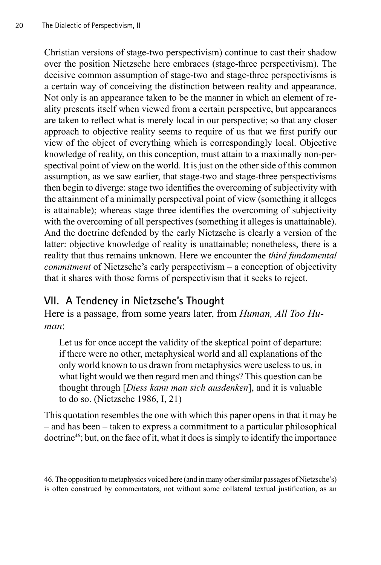Christian versions of stage-two perspectivism) continue to cast their shadow over the position Nietzsche here embraces (stage-three perspectivism). The decisive common assumption of stage-two and stage-three perspectivisms is a certain way of conceiving the distinction between reality and appearance. Not only is an appearance taken to be the manner in which an element of reality presents itself when viewed from a certain perspective, but appearances are taken to reflect what is merely local in our perspective; so that any closer approach to objective reality seems to require of us that we first purify our view of the object of everything which is correspondingly local. Objective knowledge of reality, on this conception, must attain to a maximally non-perspectival point of view on the world. It is just on the other side of this common assumption, as we saw earlier, that stage-two and stage-three perspectivisms then begin to diverge: stage two identifies the overcoming of subjectivity with the attainment of a minimally perspectival point of view (something it alleges is attainable); whereas stage three identifies the overcoming of subjectivity with the overcoming of all perspectives (something it alleges is unattainable). And the doctrine defended by the early Nietzsche is clearly a version of the latter: objective knowledge of reality is unattainable; nonetheless, there is a reality that thus remains unknown. Here we encounter the *third fundamental commitment* of Nietzsche's early perspectivism – a conception of objectivity that it shares with those forms of perspectivism that it seeks to reject.

## **VII. A Tendency in Nietzsche's Thought**

Here is a passage, from some years later, from *Human, All Too Human*:

Let us for once accept the validity of the skeptical point of departure: if there were no other, metaphysical world and all explanations of the only world known to us drawn from metaphysics were useless to us, in what light would we then regard men and things? This question can be thought through [*Diess kann man sich ausdenken*], and it is valuable to do so. (Nietzsche 1986, I, 21)

This quotation resembles the one with which this paper opens in that it may be – and has been – taken to express a commitment to a particular philosophical doctrine46; but, on the face of it, what it does is simply to identify the importance

46. The opposition to metaphysics voiced here (and in many other similar passages of Nietzsche's) is often construed by commentators, not without some collateral textual justification, as an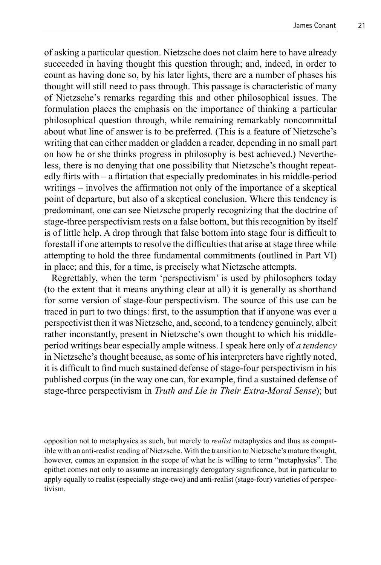of asking a particular question. Nietzsche does not claim here to have already succeeded in having thought this question through; and, indeed, in order to count as having done so, by his later lights, there are a number of phases his thought will still need to pass through. This passage is characteristic of many of Nietzsche's remarks regarding this and other philosophical issues. The formulation places the emphasis on the importance of thinking a particular philosophical question through, while remaining remarkably noncommittal about what line of answer is to be preferred. (This is a feature of Nietzsche's writing that can either madden or gladden a reader, depending in no small part on how he or she thinks progress in philosophy is best achieved.) Nevertheless, there is no denying that one possibility that Nietzsche's thought repeatedly flirts with – a flirtation that especially predominates in his middle-period writings – involves the affirmation not only of the importance of a skeptical point of departure, but also of a skeptical conclusion. Where this tendency is predominant, one can see Nietzsche properly recognizing that the doctrine of stage-three perspectivism rests on a false bottom, but this recognition by itself is of little help. A drop through that false bottom into stage four is difficult to forestall if one attempts to resolve the difficulties that arise at stage three while attempting to hold the three fundamental commitments (outlined in Part VI) in place; and this, for a time, is precisely what Nietzsche attempts.

Regrettably, when the term 'perspectivism' is used by philosophers today (to the extent that it means anything clear at all) it is generally as shorthand for some version of stage-four perspectivism. The source of this use can be traced in part to two things: first, to the assumption that if anyone was ever a perspectivist then it was Nietzsche, and, second, to a tendency genuinely, albeit rather inconstantly, present in Nietzsche's own thought to which his middleperiod writings bear especially ample witness. I speak here only of *a tendency* in Nietzsche's thought because, as some of his interpreters have rightly noted, it is difficult to find much sustained defense of stage-four perspectivism in his published corpus (in the way one can, for example, find a sustained defense of stage-three perspectivism in *Truth and Lie in Their Extra-Moral Sense*); but

opposition not to metaphysics as such, but merely to *realist* metaphysics and thus as compatible with an anti-realist reading of Nietzsche. With the transition to Nietzsche's mature thought, however, comes an expansion in the scope of what he is willing to term "metaphysics". The epithet comes not only to assume an increasingly derogatory significance, but in particular to apply equally to realist (especially stage-two) and anti-realist (stage-four) varieties of perspectivism.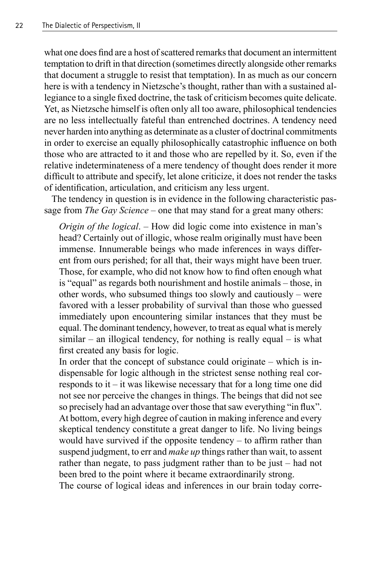what one does find are a host of scattered remarks that document an intermittent temptation to drift in that direction (sometimes directly alongside other remarks that document a struggle to resist that temptation). In as much as our concern here is with a tendency in Nietzsche's thought, rather than with a sustained allegiance to a single fixed doctrine, the task of criticism becomes quite delicate. Yet, as Nietzsche himself is often only all too aware, philosophical tendencies are no less intellectually fateful than entrenched doctrines. A tendency need never harden into anything as determinate as a cluster of doctrinal commitments in order to exercise an equally philosophically catastrophic influence on both those who are attracted to it and those who are repelled by it. So, even if the relative indeterminateness of a mere tendency of thought does render it more difficult to attribute and specify, let alone criticize, it does not render the tasks of identification, articulation, and criticism any less urgent.

The tendency in question is in evidence in the following characteristic passage from *The Gay Science* – one that may stand for a great many others:

*Origin of the logical*. – How did logic come into existence in man's head? Certainly out of illogic, whose realm originally must have been immense. Innumerable beings who made inferences in ways different from ours perished; for all that, their ways might have been truer. Those, for example, who did not know how to find often enough what is "equal" as regards both nourishment and hostile animals – those, in other words, who subsumed things too slowly and cautiously – were favored with a lesser probability of survival than those who guessed immediately upon encountering similar instances that they must be equal. The dominant tendency, however, to treat as equal what is merely similar – an illogical tendency, for nothing is really equal – is what first created any basis for logic.

In order that the concept of substance could originate – which is indispensable for logic although in the strictest sense nothing real corresponds to it – it was likewise necessary that for a long time one did not see nor perceive the changes in things. The beings that did not see so precisely had an advantage over those that saw everything "in flux". At bottom, every high degree of caution in making inference and every skeptical tendency constitute a great danger to life. No living beings would have survived if the opposite tendency – to affirm rather than suspend judgment, to err and *make up* things rather than wait, to assent rather than negate, to pass judgment rather than to be just – had not been bred to the point where it became extraordinarily strong.

The course of logical ideas and inferences in our brain today corre-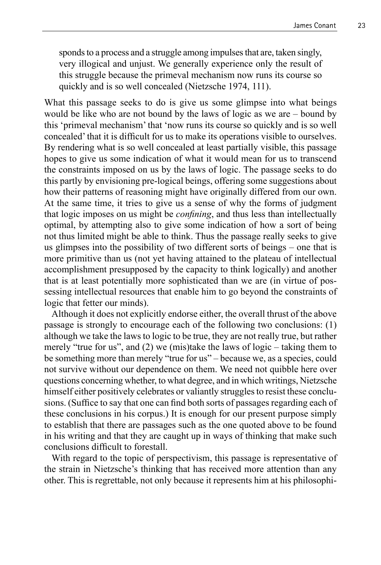sponds to a process and a struggle among impulses that are, taken singly, very illogical and unjust. We generally experience only the result of this struggle because the primeval mechanism now runs its course so quickly and is so well concealed (Nietzsche 1974, 111).

What this passage seeks to do is give us some glimpse into what beings would be like who are not bound by the laws of logic as we are – bound by this 'primeval mechanism' that 'now runs its course so quickly and is so well concealed' that it is difficult for us to make its operations visible to ourselves. By rendering what is so well concealed at least partially visible, this passage hopes to give us some indication of what it would mean for us to transcend the constraints imposed on us by the laws of logic. The passage seeks to do this partly by envisioning pre-logical beings, offering some suggestions about how their patterns of reasoning might have originally differed from our own. At the same time, it tries to give us a sense of why the forms of judgment that logic imposes on us might be *confining*, and thus less than intellectually optimal, by attempting also to give some indication of how a sort of being not thus limited might be able to think. Thus the passage really seeks to give us glimpses into the possibility of two different sorts of beings – one that is more primitive than us (not yet having attained to the plateau of intellectual accomplishment presupposed by the capacity to think logically) and another that is at least potentially more sophisticated than we are (in virtue of possessing intellectual resources that enable him to go beyond the constraints of logic that fetter our minds).

Although it does not explicitly endorse either, the overall thrust of the above passage is strongly to encourage each of the following two conclusions: (1) although we take the laws to logic to be true, they are not really true, but rather merely "true for us", and (2) we (mis)take the laws of logic – taking them to be something more than merely "true for us" – because we, as a species, could not survive without our dependence on them. We need not quibble here over questions concerning whether, to what degree, and in which writings, Nietzsche himself either positively celebrates or valiantly struggles to resist these conclusions. (Suffice to say that one can find both sorts of passages regarding each of these conclusions in his corpus.) It is enough for our present purpose simply to establish that there are passages such as the one quoted above to be found in his writing and that they are caught up in ways of thinking that make such conclusions difficult to forestall.

With regard to the topic of perspectivism, this passage is representative of the strain in Nietzsche's thinking that has received more attention than any other. This is regrettable, not only because it represents him at his philosophi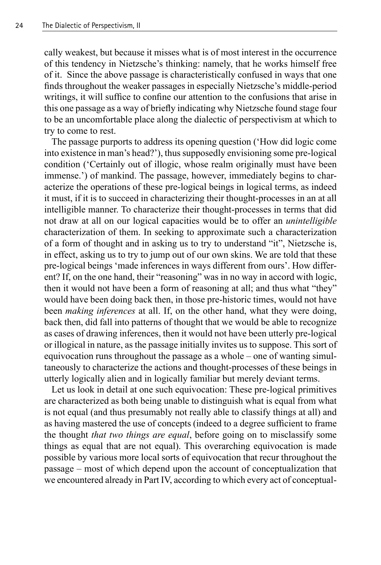cally weakest, but because it misses what is of most interest in the occurrence of this tendency in Nietzsche's thinking: namely, that he works himself free of it. Since the above passage is characteristically confused in ways that one finds throughout the weaker passages in especially Nietzsche's middle-period writings, it will suffice to confine our attention to the confusions that arise in this one passage as a way of briefly indicating why Nietzsche found stage four to be an uncomfortable place along the dialectic of perspectivism at which to try to come to rest.

The passage purports to address its opening question ('How did logic come into existence in man's head?'), thus supposedly envisioning some pre-logical condition ('Certainly out of illogic, whose realm originally must have been immense.') of mankind. The passage, however, immediately begins to characterize the operations of these pre-logical beings in logical terms, as indeed it must, if it is to succeed in characterizing their thought-processes in an at all intelligible manner. To characterize their thought-processes in terms that did not draw at all on our logical capacities would be to offer an *unintelligible* characterization of them. In seeking to approximate such a characterization of a form of thought and in asking us to try to understand "it", Nietzsche is, in effect, asking us to try to jump out of our own skins. We are told that these pre-logical beings 'made inferences in ways different from ours'. How different? If, on the one hand, their "reasoning" was in no way in accord with logic, then it would not have been a form of reasoning at all; and thus what "they" would have been doing back then, in those pre-historic times, would not have been *making inferences* at all. If, on the other hand, what they were doing, back then, did fall into patterns of thought that we would be able to recognize as cases of drawing inferences, then it would not have been utterly pre-logical or illogical in nature, as the passage initially invites us to suppose. This sort of equivocation runs throughout the passage as a whole – one of wanting simultaneously to characterize the actions and thought-processes of these beings in utterly logically alien and in logically familiar but merely deviant terms.

Let us look in detail at one such equivocation: These pre-logical primitives are characterized as both being unable to distinguish what is equal from what is not equal (and thus presumably not really able to classify things at all) and as having mastered the use of concepts (indeed to a degree sufficient to frame the thought *that two things are equal*, before going on to misclassify some things as equal that are not equal). This overarching equivocation is made possible by various more local sorts of equivocation that recur throughout the passage – most of which depend upon the account of conceptualization that we encountered already in Part IV, according to which every act of conceptual-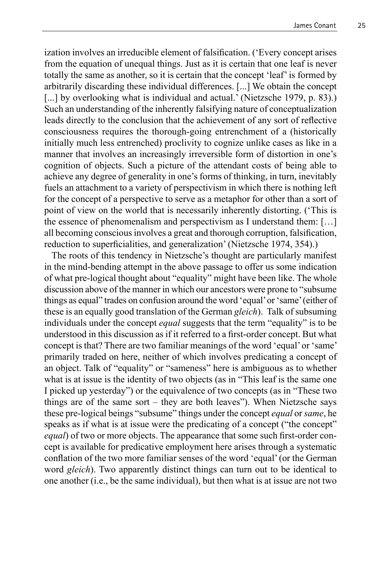ization involves an irreducible element of falsification. ('Every concept arises from the equation of unequal things. Just as it is certain that one leaf is never totally the same as another, so it is certain that the concept 'leaf' is formed by arbitrarily discarding these individual differences. [...] We obtain the concept [...] by overlooking what is individual and actual.' (Nietzsche 1979, p. 83).) Such an understanding of the inherently falsifying nature of conceptualization leads directly to the conclusion that the achievement of any sort of reflective consciousness requires the thorough-going entrenchment of a (historically initially much less entrenched) proclivity to cognize unlike cases as like in a manner that involves an increasingly irreversible form of distortion in one's cognition of objects. Such a picture of the attendant costs of being able to achieve any degree of generality in one's forms of thinking, in turn, inevitably fuels an attachment to a variety of perspectivism in which there is nothing left for the concept of a perspective to serve as a metaphor for other than a sort of point of view on the world that is necessarily inherently distorting. ('This is the essence of phenomenalism and perspectivism as I understand them: […] all becoming conscious involves a great and thorough corruption, falsification, reduction to superficialities, and generalization' (Nietzsche 1974, 354).)

The roots of this tendency in Nietzsche's thought are particularly manifest in the mind-bending attempt in the above passage to offer us some indication of what pre-logical thought about "equality" might have been like. The whole discussion above of the manner in which our ancestors were prone to "subsume things as equal" trades on confusion around the word 'equal' or 'same' (either of these is an equally good translation of the German *gleich*). Talk of subsuming individuals under the concept *equal* suggests that the term "equality" is to be understood in this discussion as if it referred to a first-order concept. But what concept is that? There are two familiar meanings of the word 'equal' or 'same' primarily traded on here, neither of which involves predicating a concept of an object. Talk of "equality" or "sameness" here is ambiguous as to whether what is at issue is the identity of two objects (as in "This leaf is the same one I picked up yesterday") or the equivalence of two concepts (as in "These two things are of the same sort – they are both leaves"). When Nietzsche says these pre-logical beings "subsume" things under the concept *equal* or *same*, he speaks as if what is at issue were the predicating of a concept ("the concept" *equal*) of two or more objects. The appearance that some such first-order concept is available for predicative employment here arises through a systematic conflation of the two more familiar senses of the word 'equal' (or the German word *gleich*). Two apparently distinct things can turn out to be identical to one another (i.e., be the same individual), but then what is at issue are not two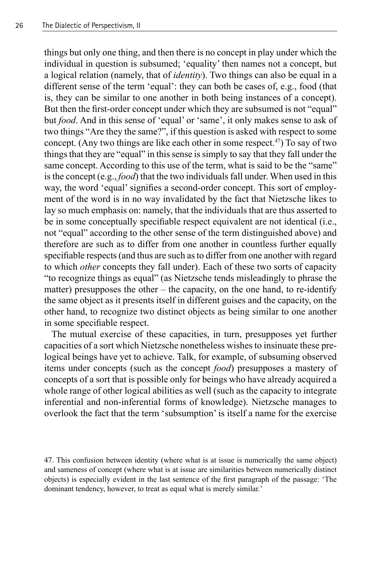things but only one thing, and then there is no concept in play under which the individual in question is subsumed; 'equality' then names not a concept, but a logical relation (namely, that of *identity*). Two things can also be equal in a different sense of the term 'equal': they can both be cases of, e.g., food (that is, they can be similar to one another in both being instances of a concept). But then the first-order concept under which they are subsumed is not "equal" but *food*. And in this sense of 'equal' or 'same', it only makes sense to ask of two things "Are they the same?", if this question is asked with respect to some concept. (Any two things are like each other in some respect.<sup>47</sup>) To say of two things that they are "equal" in this sense is simply to say that they fall under the same concept. According to this use of the term, what is said to be the "same" is the concept (e.g., *food*) that the two individuals fall under. When used in this way, the word 'equal' signifies a second-order concept. This sort of employment of the word is in no way invalidated by the fact that Nietzsche likes to lay so much emphasis on: namely, that the individuals that are thus asserted to be in some conceptually specifiable respect equivalent are not identical (i.e., not "equal" according to the other sense of the term distinguished above) and therefore are such as to differ from one another in countless further equally specifiable respects (and thus are such as to differ from one another with regard to which *other* concepts they fall under). Each of these two sorts of capacity "to recognize things as equal" (as Nietzsche tends misleadingly to phrase the matter) presupposes the other – the capacity, on the one hand, to re-identify the same object as it presents itself in different guises and the capacity, on the other hand, to recognize two distinct objects as being similar to one another in some specifiable respect.

The mutual exercise of these capacities, in turn, presupposes yet further capacities of a sort which Nietzsche nonetheless wishes to insinuate these prelogical beings have yet to achieve. Talk, for example, of subsuming observed items under concepts (such as the concept *food*) presupposes a mastery of concepts of a sort that is possible only for beings who have already acquired a whole range of other logical abilities as well (such as the capacity to integrate inferential and non-inferential forms of knowledge). Nietzsche manages to overlook the fact that the term 'subsumption' is itself a name for the exercise

<sup>47.</sup> This confusion between identity (where what is at issue is numerically the same object) and sameness of concept (where what is at issue are similarities between numerically distinct objects) is especially evident in the last sentence of the first paragraph of the passage: 'The dominant tendency, however, to treat as equal what is merely similar.'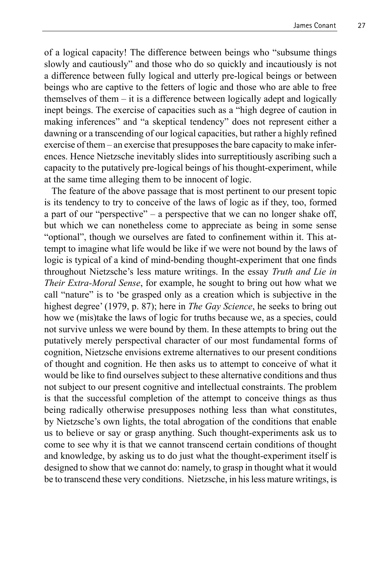of a logical capacity! The difference between beings who "subsume things slowly and cautiously" and those who do so quickly and incautiously is not a difference between fully logical and utterly pre-logical beings or between beings who are captive to the fetters of logic and those who are able to free themselves of them – it is a difference between logically adept and logically inept beings. The exercise of capacities such as a "high degree of caution in making inferences" and "a skeptical tendency" does not represent either a dawning or a transcending of our logical capacities, but rather a highly refined exercise of them – an exercise that presupposes the bare capacity to make inferences. Hence Nietzsche inevitably slides into surreptitiously ascribing such a capacity to the putatively pre-logical beings of his thought-experiment, while at the same time alleging them to be innocent of logic.

The feature of the above passage that is most pertinent to our present topic is its tendency to try to conceive of the laws of logic as if they, too, formed a part of our "perspective" – a perspective that we can no longer shake off, but which we can nonetheless come to appreciate as being in some sense "optional", though we ourselves are fated to confinement within it. This attempt to imagine what life would be like if we were not bound by the laws of logic is typical of a kind of mind-bending thought-experiment that one finds throughout Nietzsche's less mature writings. In the essay *Truth and Lie in Their Extra-Moral Sense*, for example, he sought to bring out how what we call "nature" is to 'be grasped only as a creation which is subjective in the highest degree' (1979, p. 87); here in *The Gay Science*, he seeks to bring out how we (mis)take the laws of logic for truths because we, as a species, could not survive unless we were bound by them. In these attempts to bring out the putatively merely perspectival character of our most fundamental forms of cognition, Nietzsche envisions extreme alternatives to our present conditions of thought and cognition. He then asks us to attempt to conceive of what it would be like to find ourselves subject to these alternative conditions and thus not subject to our present cognitive and intellectual constraints. The problem is that the successful completion of the attempt to conceive things as thus being radically otherwise presupposes nothing less than what constitutes, by Nietzsche's own lights, the total abrogation of the conditions that enable us to believe or say or grasp anything. Such thought-experiments ask us to come to see why it is that we cannot transcend certain conditions of thought and knowledge, by asking us to do just what the thought-experiment itself is designed to show that we cannot do: namely, to grasp in thought what it would be to transcend these very conditions. Nietzsche, in his less mature writings, is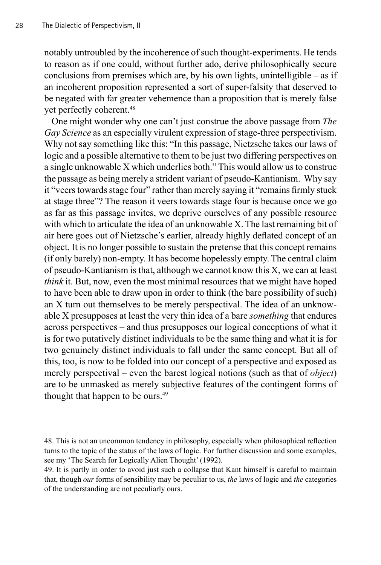notably untroubled by the incoherence of such thought-experiments. He tends to reason as if one could, without further ado, derive philosophically secure conclusions from premises which are, by his own lights, unintelligible – as if an incoherent proposition represented a sort of super-falsity that deserved to be negated with far greater vehemence than a proposition that is merely false yet perfectly coherent.<sup>48</sup>

One might wonder why one can't just construe the above passage from *The Gay Science* as an especially virulent expression of stage-three perspectivism. Why not say something like this: "In this passage, Nietzsche takes our laws of logic and a possible alternative to them to be just two differing perspectives on a single unknowable X which underlies both." This would allow us to construe the passage as being merely a strident variant of pseudo-Kantianism. Why say it "veers towards stage four" rather than merely saying it "remains firmly stuck at stage three"? The reason it veers towards stage four is because once we go as far as this passage invites, we deprive ourselves of any possible resource with which to articulate the idea of an unknowable X. The last remaining bit of air here goes out of Nietzsche's earlier, already highly deflated concept of an object. It is no longer possible to sustain the pretense that this concept remains (if only barely) non-empty. It has become hopelessly empty. The central claim of pseudo-Kantianism is that, although we cannot know this X, we can at least *think* it. But, now, even the most minimal resources that we might have hoped to have been able to draw upon in order to think (the bare possibility of such) an X turn out themselves to be merely perspectival. The idea of an unknowable X presupposes at least the very thin idea of a bare *something* that endures across perspectives – and thus presupposes our logical conceptions of what it is for two putatively distinct individuals to be the same thing and what it is for two genuinely distinct individuals to fall under the same concept. But all of this, too, is now to be folded into our concept of a perspective and exposed as merely perspectival – even the barest logical notions (such as that of *object*) are to be unmasked as merely subjective features of the contingent forms of thought that happen to be ours.<sup>49</sup>

49. It is partly in order to avoid just such a collapse that Kant himself is careful to maintain that, though *our* forms of sensibility may be peculiar to us, *the* laws of logic and *the* categories of the understanding are not peculiarly ours.

<sup>48.</sup> This is not an uncommon tendency in philosophy, especially when philosophical reflection turns to the topic of the status of the laws of logic. For further discussion and some examples, see my 'The Search for Logically Alien Thought' (1992).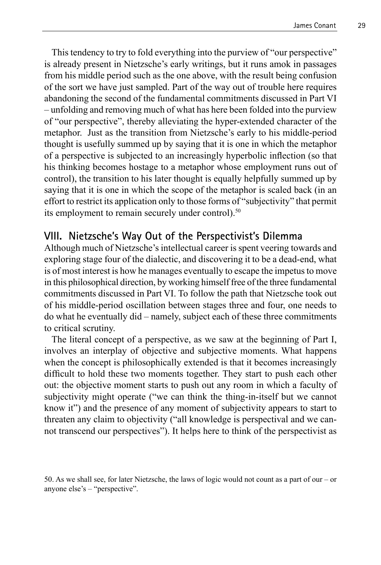This tendency to try to fold everything into the purview of "our perspective" is already present in Nietzsche's early writings, but it runs amok in passages from his middle period such as the one above, with the result being confusion of the sort we have just sampled. Part of the way out of trouble here requires abandoning the second of the fundamental commitments discussed in Part VI – unfolding and removing much of what has here been folded into the purview of "our perspective", thereby alleviating the hyper-extended character of the metaphor. Just as the transition from Nietzsche's early to his middle-period thought is usefully summed up by saying that it is one in which the metaphor of a perspective is subjected to an increasingly hyperbolic inflection (so that his thinking becomes hostage to a metaphor whose employment runs out of control), the transition to his later thought is equally helpfully summed up by saying that it is one in which the scope of the metaphor is scaled back (in an effort to restrict its application only to those forms of "subjectivity" that permit its employment to remain securely under control).<sup>50</sup>

#### **VIII. Nietzsche's Way Out of the Perspectivist's Dilemma**

Although much of Nietzsche's intellectual career is spent veering towards and exploring stage four of the dialectic, and discovering it to be a dead-end, what is of most interest is how he manages eventually to escape the impetus to move in this philosophical direction, by working himself free of the three fundamental commitments discussed in Part VI. To follow the path that Nietzsche took out of his middle-period oscillation between stages three and four, one needs to do what he eventually did – namely, subject each of these three commitments to critical scrutiny.

The literal concept of a perspective, as we saw at the beginning of Part I, involves an interplay of objective and subjective moments. What happens when the concept is philosophically extended is that it becomes increasingly difficult to hold these two moments together. They start to push each other out: the objective moment starts to push out any room in which a faculty of subjectivity might operate ("we can think the thing-in-itself but we cannot know it") and the presence of any moment of subjectivity appears to start to threaten any claim to objectivity ("all knowledge is perspectival and we cannot transcend our perspectives"). It helps here to think of the perspectivist as

<sup>50.</sup> As we shall see, for later Nietzsche, the laws of logic would not count as a part of our – or anyone else's – "perspective".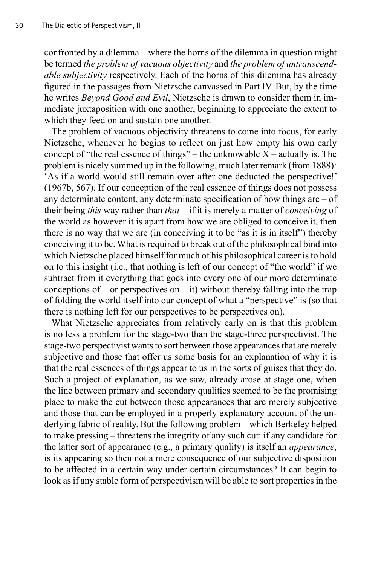confronted by a dilemma – where the horns of the dilemma in question might be termed *the problem of vacuous objectivity* and *the problem of untranscendable subjectivity* respectively. Each of the horns of this dilemma has already figured in the passages from Nietzsche canvassed in Part IV. But, by the time he writes *Beyond Good and Evil*, Nietzsche is drawn to consider them in immediate juxtaposition with one another, beginning to appreciate the extent to which they feed on and sustain one another.

The problem of vacuous objectivity threatens to come into focus, for early Nietzsche, whenever he begins to reflect on just how empty his own early concept of "the real essence of things" – the unknowable  $X$  – actually is. The problem is nicely summed up in the following, much later remark (from 1888): 'As if a world would still remain over after one deducted the perspective!' (1967b, 567). If our conception of the real essence of things does not possess any determinate content, any determinate specification of how things are – of their being *this* way rather than *that* – if it is merely a matter of *conceiving* of the world as however it is apart from how we are obliged to conceive it, then there is no way that we are (in conceiving it to be "as it is in itself") thereby conceiving it to be. What is required to break out of the philosophical bind into which Nietzsche placed himself for much of his philosophical career is to hold on to this insight (i.e., that nothing is left of our concept of "the world" if we subtract from it everything that goes into every one of our more determinate conceptions of – or perspectives on – it) without thereby falling into the trap of folding the world itself into our concept of what a "perspective" is (so that there is nothing left for our perspectives to be perspectives on).

What Nietzsche appreciates from relatively early on is that this problem is no less a problem for the stage-two than the stage-three perspectivist. The stage-two perspectivist wants to sort between those appearances that are merely subjective and those that offer us some basis for an explanation of why it is that the real essences of things appear to us in the sorts of guises that they do. Such a project of explanation, as we saw, already arose at stage one, when the line between primary and secondary qualities seemed to be the promising place to make the cut between those appearances that are merely subjective and those that can be employed in a properly explanatory account of the underlying fabric of reality. But the following problem – which Berkeley helped to make pressing – threatens the integrity of any such cut: if any candidate for the latter sort of appearance (e.g., a primary quality) is itself an *appearance*, is its appearing so then not a mere consequence of our subjective disposition to be affected in a certain way under certain circumstances? It can begin to look as if any stable form of perspectivism will be able to sort properties in the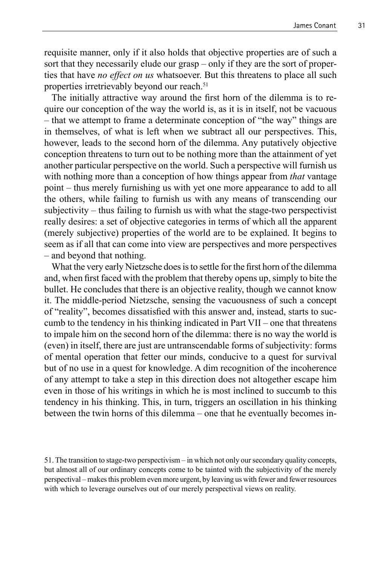requisite manner, only if it also holds that objective properties are of such a sort that they necessarily elude our grasp – only if they are the sort of properties that have *no effect on us* whatsoever. But this threatens to place all such properties irretrievably beyond our reach.<sup>51</sup>

The initially attractive way around the first horn of the dilemma is to require our conception of the way the world is, as it is in itself, not be vacuous – that we attempt to frame a determinate conception of "the way" things are in themselves, of what is left when we subtract all our perspectives. This, however, leads to the second horn of the dilemma. Any putatively objective conception threatens to turn out to be nothing more than the attainment of yet another particular perspective on the world. Such a perspective will furnish us with nothing more than a conception of how things appear from *that* vantage point – thus merely furnishing us with yet one more appearance to add to all the others, while failing to furnish us with any means of transcending our subjectivity – thus failing to furnish us with what the stage-two perspectivist really desires: a set of objective categories in terms of which all the apparent (merely subjective) properties of the world are to be explained. It begins to seem as if all that can come into view are perspectives and more perspectives – and beyond that nothing.

What the very early Nietzsche does is to settle for the first horn of the dilemma and, when first faced with the problem that thereby opens up, simply to bite the bullet. He concludes that there is an objective reality, though we cannot know it. The middle-period Nietzsche, sensing the vacuousness of such a concept of "reality", becomes dissatisfied with this answer and, instead, starts to succumb to the tendency in his thinking indicated in Part VII – one that threatens to impale him on the second horn of the dilemma: there is no way the world is (even) in itself, there are just are untranscendable forms of subjectivity: forms of mental operation that fetter our minds, conducive to a quest for survival but of no use in a quest for knowledge. A dim recognition of the incoherence of any attempt to take a step in this direction does not altogether escape him even in those of his writings in which he is most inclined to succumb to this tendency in his thinking. This, in turn, triggers an oscillation in his thinking between the twin horns of this dilemma – one that he eventually becomes in-

<sup>51.</sup> The transition to stage-two perspectivism – in which not only our secondary quality concepts, but almost all of our ordinary concepts come to be tainted with the subjectivity of the merely perspectival – makes this problem even more urgent, by leaving us with fewer and fewer resources with which to leverage ourselves out of our merely perspectival views on reality.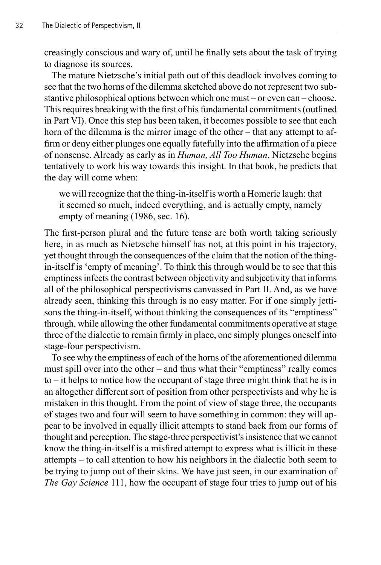creasingly conscious and wary of, until he finally sets about the task of trying to diagnose its sources.

The mature Nietzsche's initial path out of this deadlock involves coming to see that the two horns of the dilemma sketched above do not represent two substantive philosophical options between which one must – or even can – choose. This requires breaking with the first of his fundamental commitments (outlined in Part VI). Once this step has been taken, it becomes possible to see that each horn of the dilemma is the mirror image of the other – that any attempt to affirm or deny either plunges one equally fatefully into the affirmation of a piece of nonsense. Already as early as in *Human, All Too Human*, Nietzsche begins tentatively to work his way towards this insight. In that book, he predicts that the day will come when:

we will recognize that the thing-in-itself is worth a Homeric laugh: that it seemed so much, indeed everything, and is actually empty, namely empty of meaning (1986, sec. 16).

The first-person plural and the future tense are both worth taking seriously here, in as much as Nietzsche himself has not, at this point in his trajectory, yet thought through the consequences of the claim that the notion of the thingin-itself is 'empty of meaning'. To think this through would be to see that this emptiness infects the contrast between objectivity and subjectivity that informs all of the philosophical perspectivisms canvassed in Part II. And, as we have already seen, thinking this through is no easy matter. For if one simply jettisons the thing-in-itself, without thinking the consequences of its "emptiness" through, while allowing the other fundamental commitments operative at stage three of the dialectic to remain firmly in place, one simply plunges oneself into stage-four perspectivism.

To see why the emptiness of each of the horns of the aforementioned dilemma must spill over into the other – and thus what their "emptiness" really comes to – it helps to notice how the occupant of stage three might think that he is in an altogether different sort of position from other perspectivists and why he is mistaken in this thought. From the point of view of stage three, the occupants of stages two and four will seem to have something in common: they will appear to be involved in equally illicit attempts to stand back from our forms of thought and perception. The stage-three perspectivist's insistence that we cannot know the thing-in-itself is a misfired attempt to express what is illicit in these attempts – to call attention to how his neighbors in the dialectic both seem to be trying to jump out of their skins. We have just seen, in our examination of *The Gay Science* 111, how the occupant of stage four tries to jump out of his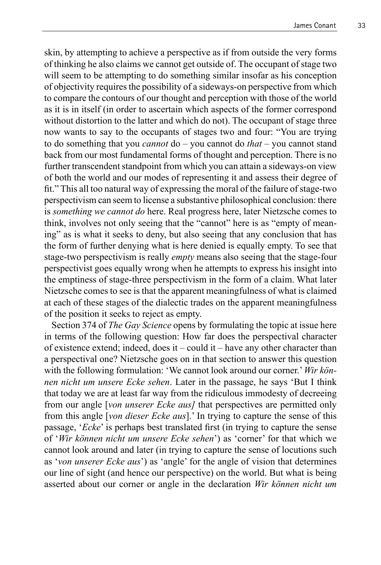skin, by attempting to achieve a perspective as if from outside the very forms of thinking he also claims we cannot get outside of. The occupant of stage two will seem to be attempting to do something similar insofar as his conception of objectivity requires the possibility of a sideways-on perspective from which to compare the contours of our thought and perception with those of the world as it is in itself (in order to ascertain which aspects of the former correspond without distortion to the latter and which do not). The occupant of stage three now wants to say to the occupants of stages two and four: "You are trying to do something that you *cannot* do – you cannot do *that* – you cannot stand back from our most fundamental forms of thought and perception. There is no further transcendent standpoint from which you can attain a sideways-on view of both the world and our modes of representing it and assess their degree of fit." This all too natural way of expressing the moral of the failure of stage-two perspectivism can seem to license a substantive philosophical conclusion: there is *something we cannot do* here. Real progress here, later Nietzsche comes to think, involves not only seeing that the "cannot" here is as "empty of meaning" as is what it seeks to deny, but also seeing that any conclusion that has the form of further denying what is here denied is equally empty. To see that stage-two perspectivism is really *empty* means also seeing that the stage-four perspectivist goes equally wrong when he attempts to express his insight into the emptiness of stage-three perspectivism in the form of a claim. What later Nietzsche comes to see is that the apparent meaningfulness of what is claimed at each of these stages of the dialectic trades on the apparent meaningfulness of the position it seeks to reject as empty.

Section 374 of *The Gay Science* opens by formulating the topic at issue here in terms of the following question: How far does the perspectival character of existence extend; indeed, does it – could it – have any other character than a perspectival one? Nietzsche goes on in that section to answer this question with the following formulation: 'We cannot look around our corner.' *Wir können nicht um unsere Ecke sehen*. Later in the passage, he says 'But I think that today we are at least far way from the ridiculous immodesty of decreeing from our angle [*von unserer Ecke aus]* that perspectives are permitted only from this angle [*von dieser Ecke aus*].' In trying to capture the sense of this passage, '*Ecke*' is perhaps best translated first (in trying to capture the sense of '*Wir können nicht um unsere Ecke sehen*') as 'corner' for that which we cannot look around and later (in trying to capture the sense of locutions such as '*von unserer Ecke aus*') as 'angle' for the angle of vision that determines our line of sight (and hence our perspective) on the world. But what is being asserted about our corner or angle in the declaration *Wir können nicht um*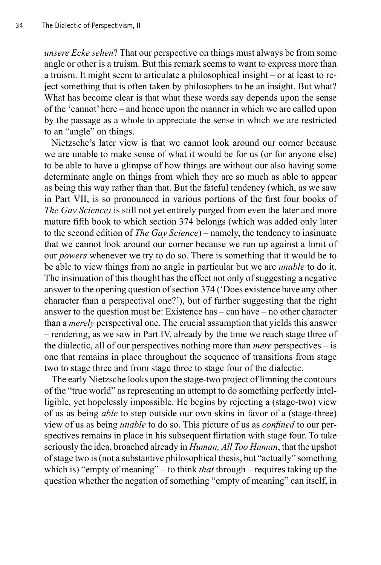*unsere Ecke sehen*? That our perspective on things must always be from some angle or other is a truism. But this remark seems to want to express more than a truism. It might seem to articulate a philosophical insight – or at least to reject something that is often taken by philosophers to be an insight. But what? What has become clear is that what these words say depends upon the sense of the 'cannot' here – and hence upon the manner in which we are called upon by the passage as a whole to appreciate the sense in which we are restricted to an "angle" on things.

Nietzsche's later view is that we cannot look around our corner because we are unable to make sense of what it would be for us (or for anyone else) to be able to have a glimpse of how things are without our also having some determinate angle on things from which they are so much as able to appear as being this way rather than that. But the fateful tendency (which, as we saw in Part VII, is so pronounced in various portions of the first four books of *The Gay Science)* is still not yet entirely purged from even the later and more mature fifth book to which section 374 belongs (which was added only later to the second edition of *The Gay Science*) – namely, the tendency to insinuate that we cannot look around our corner because we run up against a limit of our *powers* whenever we try to do so. There is something that it would be to be able to view things from no angle in particular but we are *unable* to do it. The insinuation of this thought has the effect not only of suggesting a negative answer to the opening question of section 374 ('Does existence have any other character than a perspectival one?'), but of further suggesting that the right answer to the question must be: Existence has – can have – no other character than a *merely* perspectival one. The crucial assumption that yields this answer – rendering, as we saw in Part IV, already by the time we reach stage three of the dialectic, all of our perspectives nothing more than *mere* perspectives – is one that remains in place throughout the sequence of transitions from stage two to stage three and from stage three to stage four of the dialectic.

The early Nietzsche looks upon the stage-two project of limning the contours of the "true world" as representing an attempt to do something perfectly intelligible, yet hopelessly impossible. He begins by rejecting a (stage-two) view of us as being *able* to step outside our own skins in favor of a (stage-three) view of us as being *unable* to do so. This picture of us as *confined* to our perspectives remains in place in his subsequent flirtation with stage four. To take seriously the idea, broached already in *Human, All Too Human*, that the upshot of stage two is (not a substantive philosophical thesis, but "actually" something which is) "empty of meaning" – to think *that* through – requires taking up the question whether the negation of something "empty of meaning" can itself, in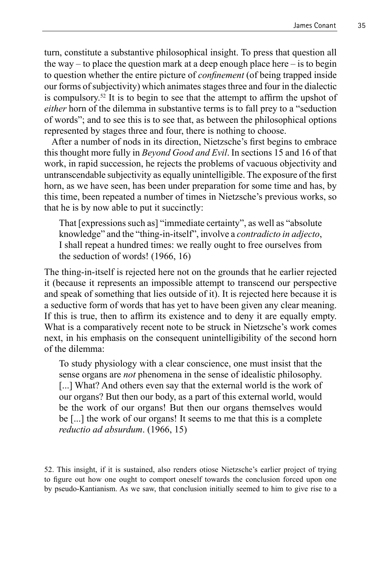turn, constitute a substantive philosophical insight. To press that question all the way – to place the question mark at a deep enough place here – is to begin to question whether the entire picture of *confinement* (of being trapped inside our forms of subjectivity) which animates stages three and four in the dialectic is compulsory.<sup>52</sup> It is to begin to see that the attempt to affirm the upshot of *either* horn of the dilemma in substantive terms is to fall prey to a "seduction of words"; and to see this is to see that, as between the philosophical options represented by stages three and four, there is nothing to choose.

After a number of nods in its direction, Nietzsche's first begins to embrace this thought more fully in *Beyond Good and Evil*. In sections 15 and 16 of that work, in rapid succession, he rejects the problems of vacuous objectivity and untranscendable subjectivity as equally unintelligible. The exposure of the first horn, as we have seen, has been under preparation for some time and has, by this time, been repeated a number of times in Nietzsche's previous works, so that he is by now able to put it succinctly:

That [expressions such as] "immediate certainty", as well as "absolute knowledge" and the "thing-in-itself", involve a *contradicto in adjecto*, I shall repeat a hundred times: we really ought to free ourselves from the seduction of words! (1966, 16)

The thing-in-itself is rejected here not on the grounds that he earlier rejected it (because it represents an impossible attempt to transcend our perspective and speak of something that lies outside of it). It is rejected here because it is a seductive form of words that has yet to have been given any clear meaning. If this is true, then to affirm its existence and to deny it are equally empty. What is a comparatively recent note to be struck in Nietzsche's work comes next, in his emphasis on the consequent unintelligibility of the second horn of the dilemma:

To study physiology with a clear conscience, one must insist that the sense organs are *not* phenomena in the sense of idealistic philosophy. [...] What? And others even say that the external world is the work of our organs? But then our body, as a part of this external world, would be the work of our organs! But then our organs themselves would be [...] the work of our organs! It seems to me that this is a complete *reductio ad absurdum*. (1966, 15)

52. This insight, if it is sustained, also renders otiose Nietzsche's earlier project of trying to figure out how one ought to comport oneself towards the conclusion forced upon one by pseudo-Kantianism. As we saw, that conclusion initially seemed to him to give rise to a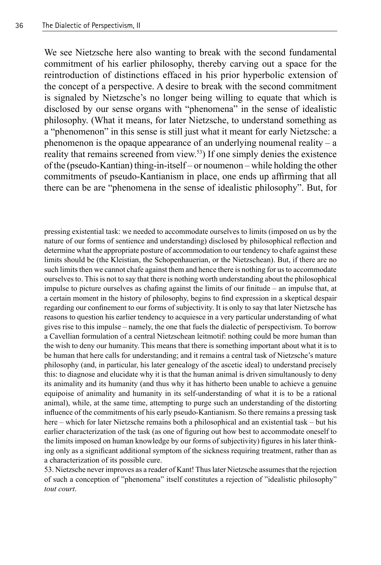We see Nietzsche here also wanting to break with the second fundamental commitment of his earlier philosophy, thereby carving out a space for the reintroduction of distinctions effaced in his prior hyperbolic extension of the concept of a perspective. A desire to break with the second commitment is signaled by Nietzsche's no longer being willing to equate that which is disclosed by our sense organs with "phenomena" in the sense of idealistic philosophy. (What it means, for later Nietzsche, to understand something as a "phenomenon" in this sense is still just what it meant for early Nietzsche: a phenomenon is the opaque appearance of an underlying noumenal reality  $-$  a reality that remains screened from view.53) If one simply denies the existence of the (pseudo-Kantian) thing-in-itself – or noumenon – while holding the other commitments of pseudo-Kantianism in place, one ends up affirming that all there can be are "phenomena in the sense of idealistic philosophy". But, for

pressing existential task: we needed to accommodate ourselves to limits (imposed on us by the nature of our forms of sentience and understanding) disclosed by philosophical reflection and determine what the appropriate posture of accommodation to our tendency to chafe against these limits should be (the Kleistian, the Schopenhauerian, or the Nietzschean). But, if there are no such limits then we cannot chafe against them and hence there is nothing for us to accommodate ourselves to. This is not to say that there is nothing worth understanding about the philosophical impulse to picture ourselves as chafing against the limits of our finitude – an impulse that, at a certain moment in the history of philosophy, begins to find expression in a skeptical despair regarding our confinement to our forms of subjectivity. It is only to say that later Nietzsche has reasons to question his earlier tendency to acquiesce in a very particular understanding of what gives rise to this impulse – namely, the one that fuels the dialectic of perspectivism. To borrow a Cavellian formulation of a central Nietzschean leitmotif: nothing could be more human than the wish to deny our humanity. This means that there is something important about what it is to be human that here calls for understanding; and it remains a central task of Nietzsche's mature philosophy (and, in particular, his later genealogy of the ascetic ideal) to understand precisely this: to diagnose and elucidate why it is that the human animal is driven simultanously to deny its animality and its humanity (and thus why it has hitherto been unable to achieve a genuine equipoise of animality and humanity in its self-understanding of what it is to be a rational animal), while, at the same time, attempting to purge such an understanding of the distorting influence of the commitments of his early pseudo-Kantianism. So there remains a pressing task here – which for later Nietzsche remains both a philosophical and an existential task – but his earlier characterization of the task (as one of figuring out how best to accommodate oneself to the limits imposed on human knowledge by our forms of subjectivity) figures in his later thinking only as a significant additional symptom of the sickness requiring treatment, rather than as a characterization of its possible cure.

53. Nietzsche never improves as a reader of Kant! Thus later Nietzsche assumes that the rejection of such a conception of "phenomena" itself constitutes a rejection of "idealistic philosophy" *tout court*.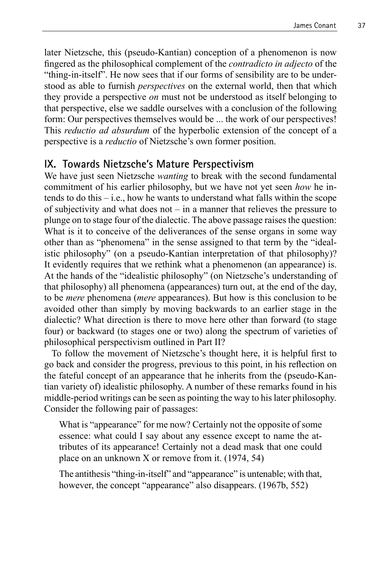later Nietzsche, this (pseudo-Kantian) conception of a phenomenon is now fingered as the philosophical complement of the *contradicto in adjecto* of the "thing-in-itself". He now sees that if our forms of sensibility are to be understood as able to furnish *perspectives* on the external world, then that which they provide a perspective *on* must not be understood as itself belonging to that perspective, else we saddle ourselves with a conclusion of the following form: Our perspectives themselves would be ... the work of our perspectives! This *reductio ad absurdum* of the hyperbolic extension of the concept of a perspective is a *reductio* of Nietzsche's own former position.

#### **IX. Towards Nietzsche's Mature Perspectivism**

We have just seen Nietzsche *wanting* to break with the second fundamental commitment of his earlier philosophy, but we have not yet seen *how* he intends to do this – i.e., how he wants to understand what falls within the scope of subjectivity and what does not – in a manner that relieves the pressure to plunge on to stage four of the dialectic. The above passage raises the question: What is it to conceive of the deliverances of the sense organs in some way other than as "phenomena" in the sense assigned to that term by the "idealistic philosophy" (on a pseudo-Kantian interpretation of that philosophy)? It evidently requires that we rethink what a phenomenon (an appearance) is. At the hands of the "idealistic philosophy" (on Nietzsche's understanding of that philosophy) all phenomena (appearances) turn out, at the end of the day, to be *mere* phenomena (*mere* appearances). But how is this conclusion to be avoided other than simply by moving backwards to an earlier stage in the dialectic? What direction is there to move here other than forward (to stage four) or backward (to stages one or two) along the spectrum of varieties of philosophical perspectivism outlined in Part II?

To follow the movement of Nietzsche's thought here, it is helpful first to go back and consider the progress, previous to this point, in his reflection on the fateful concept of an appearance that he inherits from the (pseudo-Kantian variety of) idealistic philosophy. A number of these remarks found in his middle-period writings can be seen as pointing the way to his later philosophy. Consider the following pair of passages:

What is "appearance" for me now? Certainly not the opposite of some essence: what could I say about any essence except to name the attributes of its appearance! Certainly not a dead mask that one could place on an unknown X or remove from it. (1974, 54)

The antithesis "thing-in-itself" and "appearance" is untenable; with that, however, the concept "appearance" also disappears. (1967b, 552)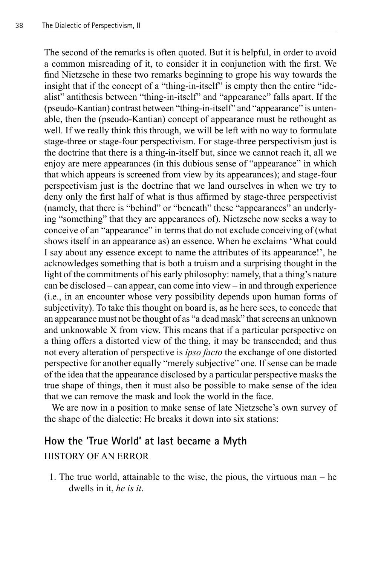The second of the remarks is often quoted. But it is helpful, in order to avoid a common misreading of it, to consider it in conjunction with the first. We find Nietzsche in these two remarks beginning to grope his way towards the insight that if the concept of a "thing-in-itself" is empty then the entire "idealist" antithesis between "thing-in-itself" and "appearance" falls apart. If the (pseudo-Kantian) contrast between "thing-in-itself" and "appearance" is untenable, then the (pseudo-Kantian) concept of appearance must be rethought as well. If we really think this through, we will be left with no way to formulate stage-three or stage-four perspectivism. For stage-three perspectivism just is the doctrine that there is a thing-in-itself but, since we cannot reach it, all we enjoy are mere appearances (in this dubious sense of "appearance" in which that which appears is screened from view by its appearances); and stage-four perspectivism just is the doctrine that we land ourselves in when we try to deny only the first half of what is thus affirmed by stage-three perspectivist (namely, that there is "behind" or "beneath" these "appearances" an underlying "something" that they are appearances of). Nietzsche now seeks a way to conceive of an "appearance" in terms that do not exclude conceiving of (what shows itself in an appearance as) an essence. When he exclaims 'What could I say about any essence except to name the attributes of its appearance!', he acknowledges something that is both a truism and a surprising thought in the light of the commitments of his early philosophy: namely, that a thing's nature can be disclosed – can appear, can come into view – in and through experience (i.e., in an encounter whose very possibility depends upon human forms of subjectivity). To take this thought on board is, as he here sees, to concede that an appearance must not be thought of as "a dead mask" that screens an unknown and unknowable X from view. This means that if a particular perspective on a thing offers a distorted view of the thing, it may be transcended; and thus not every alteration of perspective is *ipso facto* the exchange of one distorted perspective for another equally "merely subjective" one. If sense can be made of the idea that the appearance disclosed by a particular perspective masks the true shape of things, then it must also be possible to make sense of the idea that we can remove the mask and look the world in the face.

We are now in a position to make sense of late Nietzsche's own survey of the shape of the dialectic: He breaks it down into six stations:

### **How the 'True World' at last became a Myth** HISTORY OF AN ERROR

1. The true world, attainable to the wise, the pious, the virtuous man – he dwells in it, *he is it*.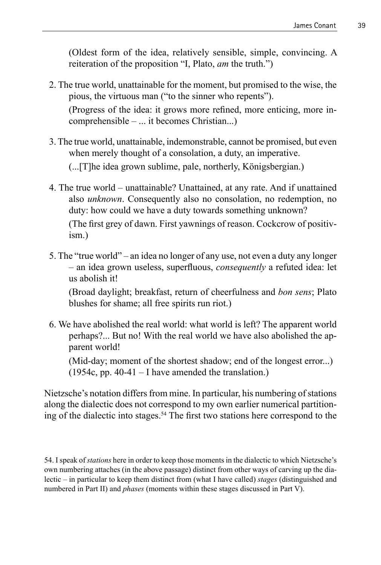(Oldest form of the idea, relatively sensible, simple, convincing. A reiteration of the proposition "I, Plato, *am* the truth.")

2. The true world, unattainable for the moment, but promised to the wise, the pious, the virtuous man ("to the sinner who repents").

(Progress of the idea: it grows more refined, more enticing, more incomprehensible – ... it becomes Christian...)

3. The true world, unattainable, indemonstrable, cannot be promised, but even when merely thought of a consolation, a duty, an imperative.

(...[T]he idea grown sublime, pale, northerly, Königsbergian.)

4. The true world – unattainable? Unattained, at any rate. And if unattained also *unknown*. Consequently also no consolation, no redemption, no duty: how could we have a duty towards something unknown?

(The first grey of dawn. First yawnings of reason. Cockcrow of positivism.)

5. The "true world" – an idea no longer of any use, not even a duty any longer – an idea grown useless, superfluous, *consequently* a refuted idea: let us abolish it!

(Broad daylight; breakfast, return of cheerfulness and *bon sens*; Plato blushes for shame; all free spirits run riot.)

6. We have abolished the real world: what world is left? The apparent world perhaps?... But no! With the real world we have also abolished the apparent world!

(Mid-day; moment of the shortest shadow; end of the longest error...) (1954c, pp. 40-41 – I have amended the translation.)

Nietzsche's notation differs from mine. In particular, his numbering of stations along the dialectic does not correspond to my own earlier numerical partitioning of the dialectic into stages.<sup>54</sup> The first two stations here correspond to the

<sup>54.</sup> I speak of *stations* here in order to keep those moments in the dialectic to which Nietzsche's own numbering attaches (in the above passage) distinct from other ways of carving up the dialectic – in particular to keep them distinct from (what I have called) *stages* (distinguished and numbered in Part II) and *phases* (moments within these stages discussed in Part V).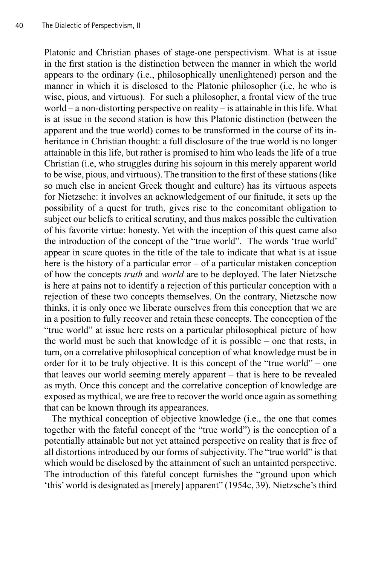Platonic and Christian phases of stage-one perspectivism. What is at issue in the first station is the distinction between the manner in which the world appears to the ordinary (i.e., philosophically unenlightened) person and the manner in which it is disclosed to the Platonic philosopher (i.e, he who is wise, pious, and virtuous). For such a philosopher, a frontal view of the true world – a non-distorting perspective on reality – is attainable in this life. What is at issue in the second station is how this Platonic distinction (between the apparent and the true world) comes to be transformed in the course of its inheritance in Christian thought: a full disclosure of the true world is no longer attainable in this life, but rather is promised to him who leads the life of a true Christian (i.e, who struggles during his sojourn in this merely apparent world to be wise, pious, and virtuous). The transition to the first of these stations (like so much else in ancient Greek thought and culture) has its virtuous aspects for Nietzsche: it involves an acknowledgement of our finitude, it sets up the possibility of a quest for truth, gives rise to the concomitant obligation to subject our beliefs to critical scrutiny, and thus makes possible the cultivation of his favorite virtue: honesty. Yet with the inception of this quest came also the introduction of the concept of the "true world". The words 'true world' appear in scare quotes in the title of the tale to indicate that what is at issue here is the history of a particular error – of a particular mistaken conception of how the concepts *truth* and *world* are to be deployed. The later Nietzsche is here at pains not to identify a rejection of this particular conception with a rejection of these two concepts themselves. On the contrary, Nietzsche now thinks, it is only once we liberate ourselves from this conception that we are in a position to fully recover and retain these concepts. The conception of the "true world" at issue here rests on a particular philosophical picture of how the world must be such that knowledge of it is possible – one that rests, in turn, on a correlative philosophical conception of what knowledge must be in order for it to be truly objective. It is this concept of the "true world" – one that leaves our world seeming merely apparent – that is here to be revealed as myth. Once this concept and the correlative conception of knowledge are exposed as mythical, we are free to recover the world once again as something that can be known through its appearances.

The mythical conception of objective knowledge (i.e., the one that comes together with the fateful concept of the "true world") is the conception of a potentially attainable but not yet attained perspective on reality that is free of all distortions introduced by our forms of subjectivity. The "true world" is that which would be disclosed by the attainment of such an untainted perspective. The introduction of this fateful concept furnishes the "ground upon which 'this' world is designated as [merely] apparent" (1954c, 39). Nietzsche's third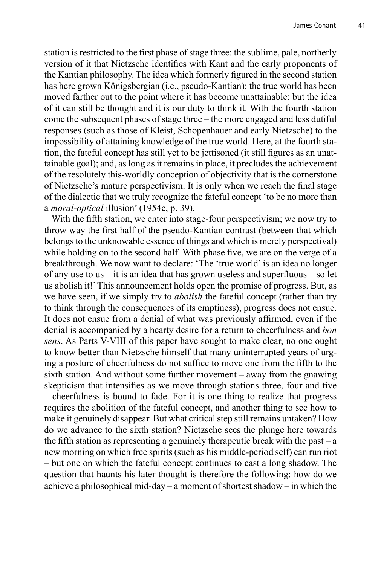station is restricted to the first phase of stage three: the sublime, pale, northerly version of it that Nietzsche identifies with Kant and the early proponents of the Kantian philosophy. The idea which formerly figured in the second station has here grown Königsbergian (i.e., pseudo-Kantian): the true world has been moved farther out to the point where it has become unattainable; but the idea of it can still be thought and it is our duty to think it. With the fourth station come the subsequent phases of stage three – the more engaged and less dutiful responses (such as those of Kleist, Schopenhauer and early Nietzsche) to the impossibility of attaining knowledge of the true world. Here, at the fourth station, the fateful concept has still yet to be jettisoned (it still figures as an unattainable goal); and, as long as it remains in place, it precludes the achievement of the resolutely this-worldly conception of objectivity that is the cornerstone of Nietzsche's mature perspectivism. It is only when we reach the final stage of the dialectic that we truly recognize the fateful concept 'to be no more than a *moral-optical* illusion' (1954c, p. 39).

With the fifth station, we enter into stage-four perspectivism; we now try to throw way the first half of the pseudo-Kantian contrast (between that which belongs to the unknowable essence of things and which is merely perspectival) while holding on to the second half. With phase five, we are on the verge of a breakthrough. We now want to declare: 'The 'true world' is an idea no longer of any use to us – it is an idea that has grown useless and superfluous – so let us abolish it!' This announcement holds open the promise of progress. But, as we have seen, if we simply try to *abolish* the fateful concept (rather than try to think through the consequences of its emptiness), progress does not ensue. It does not ensue from a denial of what was previously affirmed, even if the denial is accompanied by a hearty desire for a return to cheerfulness and *bon sens*. As Parts V-VIII of this paper have sought to make clear, no one ought to know better than Nietzsche himself that many uninterrupted years of urging a posture of cheerfulness do not suffice to move one from the fifth to the sixth station. And without some further movement – away from the gnawing skepticism that intensifies as we move through stations three, four and five – cheerfulness is bound to fade. For it is one thing to realize that progress requires the abolition of the fateful concept, and another thing to see how to make it genuinely disappear. But what critical step still remains untaken? How do we advance to the sixth station? Nietzsche sees the plunge here towards the fifth station as representing a genuinely therapeutic break with the past – a new morning on which free spirits (such as his middle-period self) can run riot – but one on which the fateful concept continues to cast a long shadow. The question that haunts his later thought is therefore the following: how do we achieve a philosophical mid-day – a moment of shortest shadow – in which the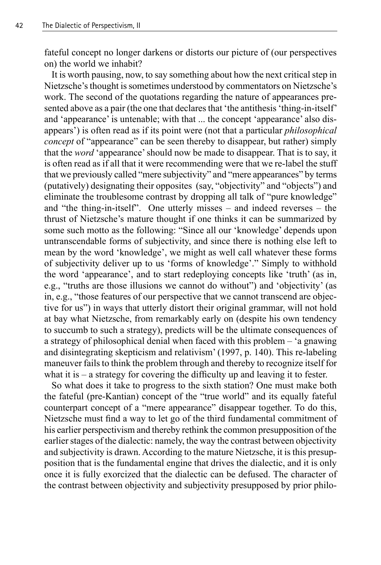fateful concept no longer darkens or distorts our picture of (our perspectives on) the world we inhabit?

It is worth pausing, now, to say something about how the next critical step in Nietzsche's thought is sometimes understood by commentators on Nietzsche's work. The second of the quotations regarding the nature of appearances presented above as a pair (the one that declares that 'the antithesis 'thing-in-itself' and 'appearance' is untenable; with that ... the concept 'appearance' also disappears') is often read as if its point were (not that a particular *philosophical concept* of "appearance" can be seen thereby to disappear, but rather) simply that the *word* 'appearance' should now be made to disappear. That is to say, it is often read as if all that it were recommending were that we re-label the stuff that we previously called "mere subjectivity" and "mere appearances" by terms (putatively) designating their opposites (say, "objectivity" and "objects") and eliminate the troublesome contrast by dropping all talk of "pure knowledge" and "the thing-in-itself". One utterly misses – and indeed reverses – the thrust of Nietzsche's mature thought if one thinks it can be summarized by some such motto as the following: "Since all our 'knowledge' depends upon untranscendable forms of subjectivity, and since there is nothing else left to mean by the word 'knowledge', we might as well call whatever these forms of subjectivity deliver up to us 'forms of knowledge'." Simply to withhold the word 'appearance', and to start redeploying concepts like 'truth' (as in, e.g., "truths are those illusions we cannot do without") and 'objectivity' (as in, e.g., "those features of our perspective that we cannot transcend are objective for us") in ways that utterly distort their original grammar, will not hold at bay what Nietzsche, from remarkably early on (despite his own tendency to succumb to such a strategy), predicts will be the ultimate consequences of a strategy of philosophical denial when faced with this problem – 'a gnawing and disintegrating skepticism and relativism' (1997, p. 140). This re-labeling maneuver fails to think the problem through and thereby to recognize itself for what it is – a strategy for covering the difficulty up and leaving it to fester.

So what does it take to progress to the sixth station? One must make both the fateful (pre-Kantian) concept of the "true world" and its equally fateful counterpart concept of a "mere appearance" disappear together. To do this, Nietzsche must find a way to let go of the third fundamental commitment of his earlier perspectivism and thereby rethink the common presupposition of the earlier stages of the dialectic: namely, the way the contrast between objectivity and subjectivity is drawn. According to the mature Nietzsche, it is this presupposition that is the fundamental engine that drives the dialectic, and it is only once it is fully exorcized that the dialectic can be defused. The character of the contrast between objectivity and subjectivity presupposed by prior philo-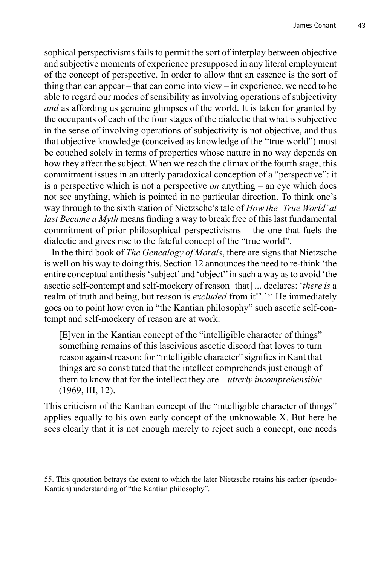sophical perspectivisms fails to permit the sort of interplay between objective and subjective moments of experience presupposed in any literal employment of the concept of perspective. In order to allow that an essence is the sort of thing than can appear – that can come into view – in experience, we need to be able to regard our modes of sensibility as involving operations of subjectivity *and* as affording us genuine glimpses of the world. It is taken for granted by the occupants of each of the four stages of the dialectic that what is subjective in the sense of involving operations of subjectivity is not objective, and thus that objective knowledge (conceived as knowledge of the "true world") must be couched solely in terms of properties whose nature in no way depends on how they affect the subject. When we reach the climax of the fourth stage, this commitment issues in an utterly paradoxical conception of a "perspective": it is a perspective which is not a perspective *on* anything – an eye which does not see anything, which is pointed in no particular direction. To think one's way through to the sixth station of Nietzsche's tale of *How the 'True World' at last Became a Myth* means finding a way to break free of this last fundamental commitment of prior philosophical perspectivisms – the one that fuels the dialectic and gives rise to the fateful concept of the "true world".

In the third book of *The Genealogy of Morals*, there are signs that Nietzsche is well on his way to doing this. Section 12 announces the need to re-think 'the entire conceptual antithesis 'subject' and 'object'' in such a way as to avoid 'the ascetic self-contempt and self-mockery of reason [that] ... declares: '*there is* a realm of truth and being, but reason is *excluded* from it!'.<sup>'55</sup> He immediately goes on to point how even in "the Kantian philosophy" such ascetic self-contempt and self-mockery of reason are at work:

[E]ven in the Kantian concept of the "intelligible character of things" something remains of this lascivious ascetic discord that loves to turn reason against reason: for "intelligible character" signifies in Kant that things are so constituted that the intellect comprehends just enough of them to know that for the intellect they are – *utterly incomprehensible* (1969, III, 12).

This criticism of the Kantian concept of the "intelligible character of things" applies equally to his own early concept of the unknowable X. But here he sees clearly that it is not enough merely to reject such a concept, one needs

55. This quotation betrays the extent to which the later Nietzsche retains his earlier (pseudo-Kantian) understanding of "the Kantian philosophy".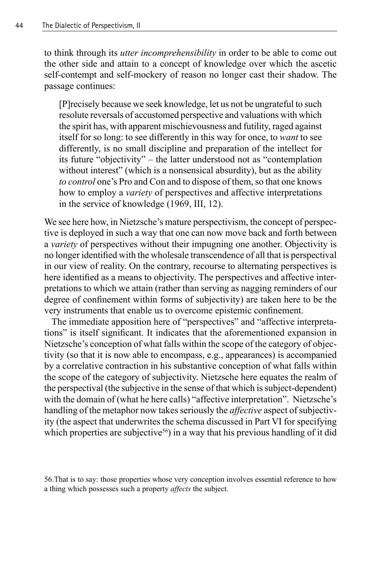to think through its *utter incomprehensibility* in order to be able to come out the other side and attain to a concept of knowledge over which the ascetic self-contempt and self-mockery of reason no longer cast their shadow. The passage continues:

[P]recisely because we seek knowledge, let us not be ungrateful to such resolute reversals of accustomed perspective and valuations with which the spirit has, with apparent mischievousness and futility, raged against itself for so long: to see differently in this way for once, to *want* to see differently, is no small discipline and preparation of the intellect for its future "objectivity" – the latter understood not as "contemplation without interest" (which is a nonsensical absurdity), but as the ability *to control* one's Pro and Con and to dispose of them, so that one knows how to employ a *variety* of perspectives and affective interpretations in the service of knowledge (1969, III, 12).

We see here how, in Nietzsche's mature perspectivism, the concept of perspective is deployed in such a way that one can now move back and forth between a *variety* of perspectives without their impugning one another. Objectivity is no longer identified with the wholesale transcendence of all that is perspectival in our view of reality. On the contrary, recourse to alternating perspectives is here identified as a means to objectivity. The perspectives and affective interpretations to which we attain (rather than serving as nagging reminders of our degree of confinement within forms of subjectivity) are taken here to be the very instruments that enable us to overcome epistemic confinement.

The immediate apposition here of "perspectives" and "affective interpretations" is itself significant. It indicates that the aforementioned expansion in Nietzsche's conception of what falls within the scope of the category of objectivity (so that it is now able to encompass, e.g., appearances) is accompanied by a correlative contraction in his substantive conception of what falls within the scope of the category of subjectivity. Nietzsche here equates the realm of the perspectival (the subjective in the sense of that which is subject-dependent) with the domain of (what he here calls) "affective interpretation". Nietzsche's handling of the metaphor now takes seriously the *affective* aspect of subjectivity (the aspect that underwrites the schema discussed in Part VI for specifying which properties are subjective<sup>56</sup>) in a way that his previous handling of it did

56.That is to say: those properties whose very conception involves essential reference to how a thing which possesses such a property *affects* the subject.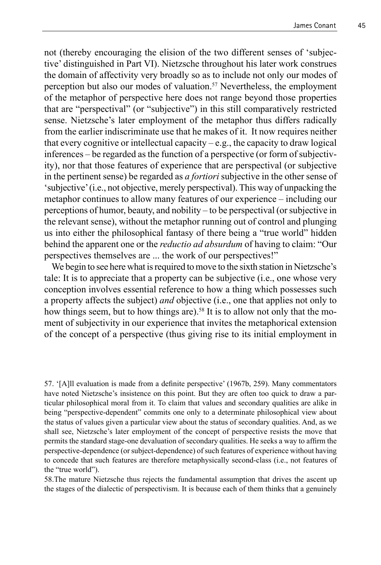not (thereby encouraging the elision of the two different senses of 'subjective' distinguished in Part VI). Nietzsche throughout his later work construes the domain of affectivity very broadly so as to include not only our modes of perception but also our modes of valuation.<sup>57</sup> Nevertheless, the employment of the metaphor of perspective here does not range beyond those properties that are "perspectival" (or "subjective") in this still comparatively restricted sense. Nietzsche's later employment of the metaphor thus differs radically from the earlier indiscriminate use that he makes of it. It now requires neither that every cognitive or intellectual capacity – e.g., the capacity to draw logical inferences – be regarded as the function of a perspective (or form of subjectivity), nor that those features of experience that are perspectival (or subjective in the pertinent sense) be regarded as *a fortiori* subjective in the other sense of 'subjective' (i.e., not objective, merely perspectival). This way of unpacking the metaphor continues to allow many features of our experience – including our perceptions of humor, beauty, and nobility – to be perspectival (or subjective in the relevant sense), without the metaphor running out of control and plunging us into either the philosophical fantasy of there being a "true world" hidden behind the apparent one or the *reductio ad absurdum* of having to claim: "Our perspectives themselves are ... the work of our perspectives!"

We begin to see here what is required to move to the sixth station in Nietzsche's tale: It is to appreciate that a property can be subjective (i.e., one whose very conception involves essential reference to how a thing which possesses such a property affects the subject) *and* objective (i.e., one that applies not only to how things seem, but to how things are).<sup>58</sup> It is to allow not only that the moment of subjectivity in our experience that invites the metaphorical extension of the concept of a perspective (thus giving rise to its initial employment in

57. '[A]ll evaluation is made from a definite perspective' (1967b, 259). Many commentators have noted Nietzsche's insistence on this point. But they are often too quick to draw a particular philosophical moral from it. To claim that values and secondary qualities are alike in being "perspective-dependent" commits one only to a determinate philosophical view about the status of values given a particular view about the status of secondary qualities. And, as we shall see, Nietzsche's later employment of the concept of perspective resists the move that permits the standard stage-one devaluation of secondary qualities. He seeks a way to affirm the perspective-dependence (or subject-dependence) of such features of experience without having to concede that such features are therefore metaphysically second-class (i.e., not features of the "true world").

58.The mature Nietzsche thus rejects the fundamental assumption that drives the ascent up the stages of the dialectic of perspectivism. It is because each of them thinks that a genuinely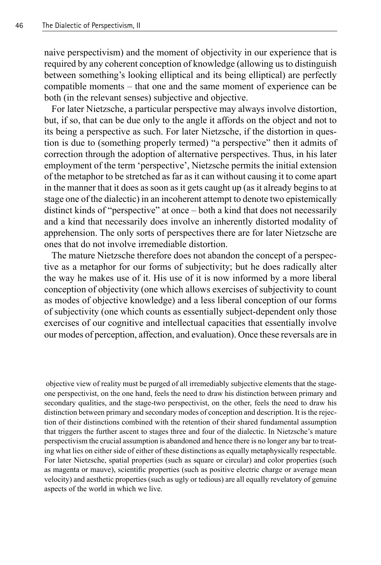naive perspectivism) and the moment of objectivity in our experience that is required by any coherent conception of knowledge (allowing us to distinguish between something's looking elliptical and its being elliptical) are perfectly compatible moments – that one and the same moment of experience can be both (in the relevant senses) subjective and objective.

For later Nietzsche, a particular perspective may always involve distortion, but, if so, that can be due only to the angle it affords on the object and not to its being a perspective as such. For later Nietzsche, if the distortion in question is due to (something properly termed) "a perspective" then it admits of correction through the adoption of alternative perspectives. Thus, in his later employment of the term 'perspective', Nietzsche permits the initial extension of the metaphor to be stretched as far as it can without causing it to come apart in the manner that it does as soon as it gets caught up (as it already begins to at stage one of the dialectic) in an incoherent attempt to denote two epistemically distinct kinds of "perspective" at once – both a kind that does not necessarily and a kind that necessarily does involve an inherently distorted modality of apprehension. The only sorts of perspectives there are for later Nietzsche are ones that do not involve irremediable distortion.

The mature Nietzsche therefore does not abandon the concept of a perspective as a metaphor for our forms of subjectivity; but he does radically alter the way he makes use of it. His use of it is now informed by a more liberal conception of objectivity (one which allows exercises of subjectivity to count as modes of objective knowledge) and a less liberal conception of our forms of subjectivity (one which counts as essentially subject-dependent only those exercises of our cognitive and intellectual capacities that essentially involve our modes of perception, affection, and evaluation). Once these reversals are in

 objective view of reality must be purged of all irremediably subjective elements that the stageone perspectivist, on the one hand, feels the need to draw his distinction between primary and secondary qualities, and the stage-two perspectivist, on the other, feels the need to draw his distinction between primary and secondary modes of conception and description. It is the rejection of their distinctions combined with the retention of their shared fundamental assumption that triggers the further ascent to stages three and four of the dialectic. In Nietzsche's mature perspectivism the crucial assumption is abandoned and hence there is no longer any bar to treating what lies on either side of either of these distinctions as equally metaphysically respectable. For later Nietzsche, spatial properties (such as square or circular) and color properties (such as magenta or mauve), scientific properties (such as positive electric charge or average mean velocity) and aesthetic properties (such as ugly or tedious) are all equally revelatory of genuine aspects of the world in which we live.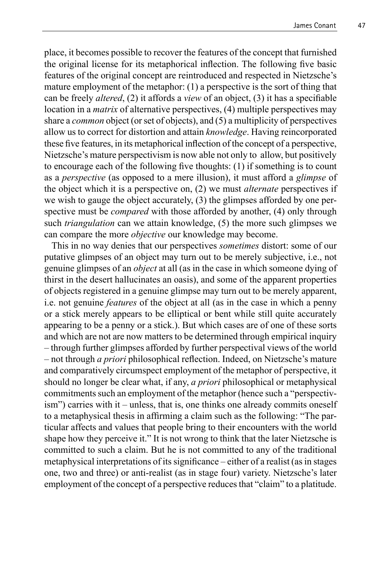place, it becomes possible to recover the features of the concept that furnished the original license for its metaphorical inflection. The following five basic features of the original concept are reintroduced and respected in Nietzsche's mature employment of the metaphor: (1) a perspective is the sort of thing that can be freely *altered*, (2) it affords a *view* of an object, (3) it has a specifiable location in a *matrix* of alternative perspectives, (4) multiple perspectives may share a *common* object (or set of objects), and (5) a multiplicity of perspectives allow us to correct for distortion and attain *knowledge*. Having reincorporated these five features, in its metaphorical inflection of the concept of a perspective, Nietzsche's mature perspectivism is now able not only to allow, but positively to encourage each of the following five thoughts: (1) if something is to count as a *perspective* (as opposed to a mere illusion), it must afford a *glimpse* of the object which it is a perspective on, (2) we must *alternate* perspectives if we wish to gauge the object accurately, (3) the glimpses afforded by one perspective must be *compared* with those afforded by another, (4) only through such *triangulation* can we attain knowledge, (5) the more such glimpses we can compare the more *objective* our knowledge may become.

This in no way denies that our perspectives *sometimes* distort: some of our putative glimpses of an object may turn out to be merely subjective, i.e., not genuine glimpses of an *object* at all (as in the case in which someone dying of thirst in the desert hallucinates an oasis), and some of the apparent properties of objects registered in a genuine glimpse may turn out to be merely apparent, i.e. not genuine *features* of the object at all (as in the case in which a penny or a stick merely appears to be elliptical or bent while still quite accurately appearing to be a penny or a stick.). But which cases are of one of these sorts and which are not are now matters to be determined through empirical inquiry – through further glimpses afforded by further perspectival views of the world – not through *a priori* philosophical reflection. Indeed, on Nietzsche's mature and comparatively circumspect employment of the metaphor of perspective, it should no longer be clear what, if any, *a priori* philosophical or metaphysical commitments such an employment of the metaphor (hence such a "perspectivism") carries with it – unless, that is, one thinks one already commits oneself to a metaphysical thesis in affirming a claim such as the following: "The particular affects and values that people bring to their encounters with the world shape how they perceive it." It is not wrong to think that the later Nietzsche is committed to such a claim. But he is not committed to any of the traditional metaphysical interpretations of its significance – either of a realist (as in stages one, two and three) or anti-realist (as in stage four) variety. Nietzsche's later employment of the concept of a perspective reduces that "claim" to a platitude.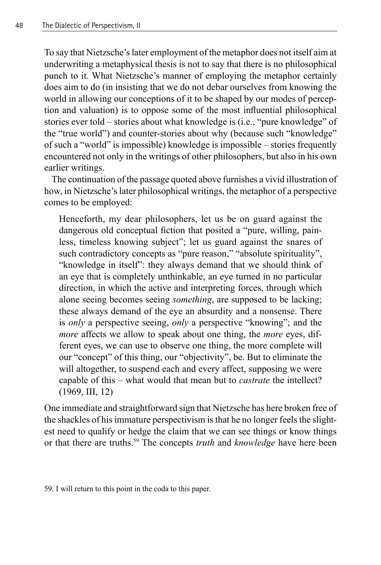To say that Nietzsche's later employment of the metaphor does not itself aim at underwriting a metaphysical thesis is not to say that there is no philosophical punch to it. What Nietzsche's manner of employing the metaphor certainly does aim to do (in insisting that we do not debar ourselves from knowing the world in allowing our conceptions of it to be shaped by our modes of perception and valuation) is to oppose some of the most influential philosophical stories ever told – stories about what knowledge is (i.e., "pure knowledge" of the "true world") and counter-stories about why (because such "knowledge" of such a "world" is impossible) knowledge is impossible – stories frequently encountered not only in the writings of other philosophers, but also in his own earlier writings.

The continuation of the passage quoted above furnishes a vivid illustration of how, in Nietzsche's later philosophical writings, the metaphor of a perspective comes to be employed:

Henceforth, my dear philosophers, let us be on guard against the dangerous old conceptual fiction that posited a "pure, willing, painless, timeless knowing subject"; let us guard against the snares of such contradictory concepts as "pure reason," "absolute spirituality", "knowledge in itself": they always demand that we should think of an eye that is completely unthinkable, an eye turned in no particular direction, in which the active and interpreting forces, through which alone seeing becomes seeing *something*, are supposed to be lacking; these always demand of the eye an absurdity and a nonsense. There is *only* a perspective seeing, *only* a perspective "knowing"; and the *more* affects we allow to speak about one thing, the *more* eyes, different eyes, we can use to observe one thing, the more complete will our "concept" of this thing, our "objectivity", be. But to eliminate the will altogether, to suspend each and every affect, supposing we were capable of this – what would that mean but to *castrate* the intellect? (1969, III, 12)

One immediate and straightforward sign that Nietzsche has here broken free of the shackles of his immature perspectivism is that he no longer feels the slightest need to qualify or hedge the claim that we can see things or know things or that there are truths.59 The concepts *truth* and *knowledge* have here been

<sup>59.</sup> I will return to this point in the coda to this paper.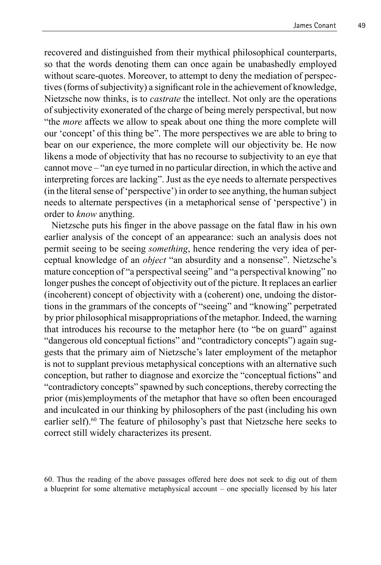recovered and distinguished from their mythical philosophical counterparts, so that the words denoting them can once again be unabashedly employed without scare-quotes. Moreover, to attempt to deny the mediation of perspectives (forms of subjectivity) a significant role in the achievement of knowledge, Nietzsche now thinks, is to *castrate* the intellect. Not only are the operations of subjectivity exonerated of the charge of being merely perspectival, but now "the *more* affects we allow to speak about one thing the more complete will our 'concept' of this thing be". The more perspectives we are able to bring to bear on our experience, the more complete will our objectivity be. He now likens a mode of objectivity that has no recourse to subjectivity to an eye that cannot move – "an eye turned in no particular direction, in which the active and interpreting forces are lacking". Just as the eye needs to alternate perspectives (in the literal sense of 'perspective') in order to see anything, the human subject needs to alternate perspectives (in a metaphorical sense of 'perspective') in order to *know* anything.

Nietzsche puts his finger in the above passage on the fatal flaw in his own earlier analysis of the concept of an appearance: such an analysis does not permit seeing to be seeing *something*, hence rendering the very idea of perceptual knowledge of an *object* "an absurdity and a nonsense". Nietzsche's mature conception of "a perspectival seeing" and "a perspectival knowing" no longer pushes the concept of objectivity out of the picture. It replaces an earlier (incoherent) concept of objectivity with a (coherent) one, undoing the distortions in the grammars of the concepts of "seeing" and "knowing" perpetrated by prior philosophical misappropriations of the metaphor. Indeed, the warning that introduces his recourse to the metaphor here (to "be on guard" against "dangerous old conceptual fictions" and "contradictory concepts") again suggests that the primary aim of Nietzsche's later employment of the metaphor is not to supplant previous metaphysical conceptions with an alternative such conception, but rather to diagnose and exorcize the "conceptual fictions" and "contradictory concepts" spawned by such conceptions, thereby correcting the prior (mis)employments of the metaphor that have so often been encouraged and inculcated in our thinking by philosophers of the past (including his own earlier self).<sup>60</sup> The feature of philosophy's past that Nietzsche here seeks to correct still widely characterizes its present.

60. Thus the reading of the above passages offered here does not seek to dig out of them a blueprint for some alternative metaphysical account – one specially licensed by his later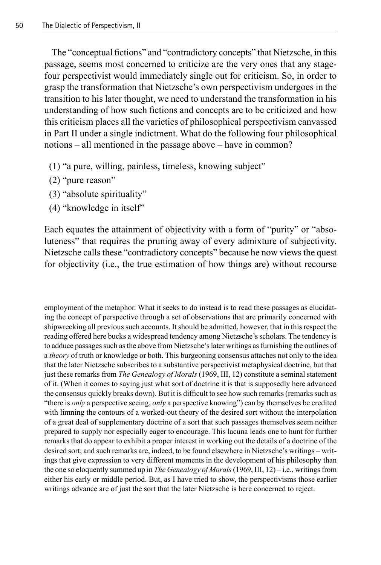The "conceptual fictions" and "contradictory concepts" that Nietzsche, in this passage, seems most concerned to criticize are the very ones that any stagefour perspectivist would immediately single out for criticism. So, in order to grasp the transformation that Nietzsche's own perspectivism undergoes in the transition to his later thought, we need to understand the transformation in his understanding of how such fictions and concepts are to be criticized and how this criticism places all the varieties of philosophical perspectivism canvassed in Part II under a single indictment. What do the following four philosophical notions – all mentioned in the passage above – have in common?

- (1) "a pure, willing, painless, timeless, knowing subject"
- (2) "pure reason"
- (3) "absolute spirituality"
- (4) "knowledge in itself"

Each equates the attainment of objectivity with a form of "purity" or "absoluteness" that requires the pruning away of every admixture of subjectivity. Nietzsche calls these "contradictory concepts" because he now views the quest for objectivity (i.e., the true estimation of how things are) without recourse

employment of the metaphor. What it seeks to do instead is to read these passages as elucidating the concept of perspective through a set of observations that are primarily concerned with shipwrecking all previous such accounts. It should be admitted, however, that in this respect the reading offered here bucks a widespread tendency among Nietzsche's scholars. The tendency is to adduce passages such as the above from Nietzsche's later writings as furnishing the outlines of a *theory* of truth or knowledge or both. This burgeoning consensus attaches not only to the idea that the later Nietzsche subscribes to a substantive perspectivist metaphysical doctrine, but that just these remarks from *The Genealogy of Morals* (1969, III, 12) constitute a seminal statement of it. (When it comes to saying just what sort of doctrine it is that is supposedly here advanced the consensus quickly breaks down). But it is difficult to see how such remarks (remarks such as "there is *only* a perspective seeing, *only* a perspective knowing") can by themselves be credited with limning the contours of a worked-out theory of the desired sort without the interpolation of a great deal of supplementary doctrine of a sort that such passages themselves seem neither prepared to supply nor especially eager to encourage. This lacuna leads one to hunt for further remarks that do appear to exhibit a proper interest in working out the details of a doctrine of the desired sort; and such remarks are, indeed, to be found elsewhere in Nietzsche's writings – writings that give expression to very different moments in the development of his philosophy than the one so eloquently summed up in *The Genealogy of Morals* (1969, III, 12) – i.e., writings from either his early or middle period. But, as I have tried to show, the perspectivisms those earlier writings advance are of just the sort that the later Nietzsche is here concerned to reject.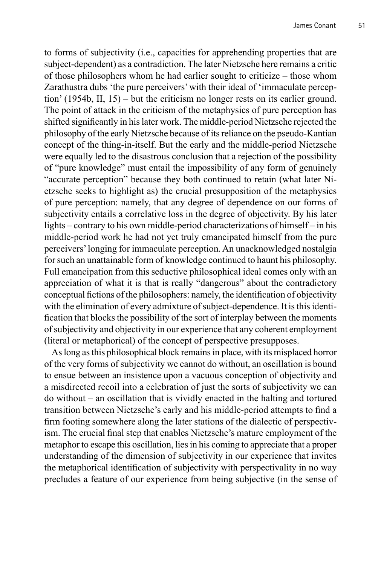to forms of subjectivity (i.e., capacities for apprehending properties that are subject-dependent) as a contradiction. The later Nietzsche here remains a critic of those philosophers whom he had earlier sought to criticize – those whom Zarathustra dubs 'the pure perceivers' with their ideal of 'immaculate perception' (1954b, II, 15) – but the criticism no longer rests on its earlier ground. The point of attack in the criticism of the metaphysics of pure perception has shifted significantly in his later work. The middle-period Nietzsche rejected the philosophy of the early Nietzsche because of its reliance on the pseudo-Kantian concept of the thing-in-itself. But the early and the middle-period Nietzsche were equally led to the disastrous conclusion that a rejection of the possibility of "pure knowledge" must entail the impossibility of any form of genuinely "accurate perception" because they both continued to retain (what later Nietzsche seeks to highlight as) the crucial presupposition of the metaphysics of pure perception: namely, that any degree of dependence on our forms of subjectivity entails a correlative loss in the degree of objectivity. By his later lights – contrary to his own middle-period characterizations of himself – in his middle-period work he had not yet truly emancipated himself from the pure perceivers' longing for immaculate perception. An unacknowledged nostalgia for such an unattainable form of knowledge continued to haunt his philosophy. Full emancipation from this seductive philosophical ideal comes only with an appreciation of what it is that is really "dangerous" about the contradictory conceptual fictions of the philosophers: namely, the identification of objectivity with the elimination of every admixture of subject-dependence. It is this identification that blocks the possibility of the sort of interplay between the moments of subjectivity and objectivity in our experience that any coherent employment (literal or metaphorical) of the concept of perspective presupposes.

As long as this philosophical block remains in place, with its misplaced horror of the very forms of subjectivity we cannot do without, an oscillation is bound to ensue between an insistence upon a vacuous conception of objectivity and a misdirected recoil into a celebration of just the sorts of subjectivity we can do without – an oscillation that is vividly enacted in the halting and tortured transition between Nietzsche's early and his middle-period attempts to find a firm footing somewhere along the later stations of the dialectic of perspectivism. The crucial final step that enables Nietzsche's mature employment of the metaphor to escape this oscillation, lies in his coming to appreciate that a proper understanding of the dimension of subjectivity in our experience that invites the metaphorical identification of subjectivity with perspectivality in no way precludes a feature of our experience from being subjective (in the sense of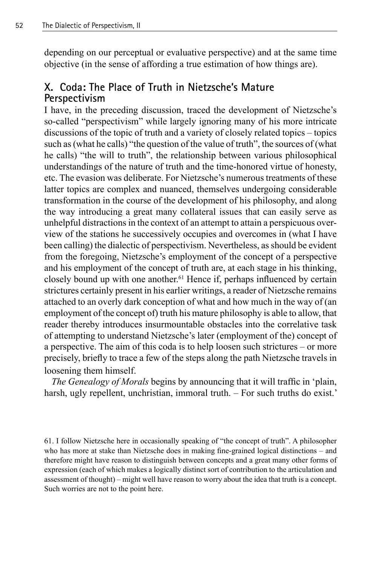depending on our perceptual or evaluative perspective) and at the same time objective (in the sense of affording a true estimation of how things are).

#### **X. Coda: The Place of Truth in Nietzsche's Mature Perspectivism**

I have, in the preceding discussion, traced the development of Nietzsche's so-called "perspectivism" while largely ignoring many of his more intricate discussions of the topic of truth and a variety of closely related topics – topics such as (what he calls) "the question of the value of truth", the sources of (what he calls) "the will to truth", the relationship between various philosophical understandings of the nature of truth and the time-honored virtue of honesty, etc. The evasion was deliberate. For Nietzsche's numerous treatments of these latter topics are complex and nuanced, themselves undergoing considerable transformation in the course of the development of his philosophy, and along the way introducing a great many collateral issues that can easily serve as unhelpful distractions in the context of an attempt to attain a perspicuous overview of the stations he successively occupies and overcomes in (what I have been calling) the dialectic of perspectivism. Nevertheless, as should be evident from the foregoing, Nietzsche's employment of the concept of a perspective and his employment of the concept of truth are, at each stage in his thinking, closely bound up with one another.<sup>61</sup> Hence if, perhaps influenced by certain strictures certainly present in his earlier writings, a reader of Nietzsche remains attached to an overly dark conception of what and how much in the way of (an employment of the concept of) truth his mature philosophy is able to allow, that reader thereby introduces insurmountable obstacles into the correlative task of attempting to understand Nietzsche's later (employment of the) concept of a perspective. The aim of this coda is to help loosen such strictures – or more precisely, briefly to trace a few of the steps along the path Nietzsche travels in loosening them himself.

*The Genealogy of Morals* begins by announcing that it will traffic in 'plain, harsh, ugly repellent, unchristian, immoral truth. – For such truths do exist.'

61. I follow Nietzsche here in occasionally speaking of "the concept of truth". A philosopher who has more at stake than Nietzsche does in making fine-grained logical distinctions – and therefore might have reason to distinguish between concepts and a great many other forms of expression (each of which makes a logically distinct sort of contribution to the articulation and assessment of thought) – might well have reason to worry about the idea that truth is a concept. Such worries are not to the point here.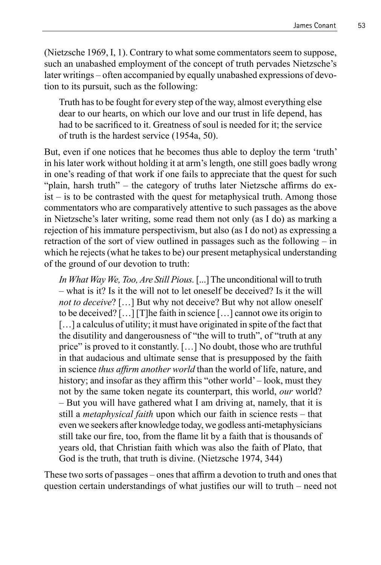(Nietzsche 1969, I, 1). Contrary to what some commentators seem to suppose, such an unabashed employment of the concept of truth pervades Nietzsche's later writings – often accompanied by equally unabashed expressions of devotion to its pursuit, such as the following:

Truth has to be fought for every step of the way, almost everything else dear to our hearts, on which our love and our trust in life depend, has had to be sacrificed to it. Greatness of soul is needed for it; the service of truth is the hardest service (1954a, 50).

But, even if one notices that he becomes thus able to deploy the term 'truth' in his later work without holding it at arm's length, one still goes badly wrong in one's reading of that work if one fails to appreciate that the quest for such "plain, harsh truth" – the category of truths later Nietzsche affirms do exist – is to be contrasted with the quest for metaphysical truth. Among those commentators who are comparatively attentive to such passages as the above in Nietzsche's later writing, some read them not only (as I do) as marking a rejection of his immature perspectivism, but also (as I do not) as expressing a retraction of the sort of view outlined in passages such as the following – in which he rejects (what he takes to be) our present metaphysical understanding of the ground of our devotion to truth:

*In What Way We, Too, Are Still Pious.* [...] The unconditional will to truth – what is it? Is it the will not to let oneself be deceived? Is it the will *not to deceive*? […] But why not deceive? But why not allow oneself to be deceived? […] [T]he faith in science […] cannot owe its origin to [...] a calculus of utility; it must have originated in spite of the fact that the disutility and dangerousness of "the will to truth", of "truth at any price" is proved to it constantly. […] No doubt, those who are truthful in that audacious and ultimate sense that is presupposed by the faith in science *thus affirm another world* than the world of life, nature, and history; and insofar as they affirm this "other world' – look, must they not by the same token negate its counterpart, this world, *our* world? – But you will have gathered what I am driving at, namely, that it is still a *metaphysical faith* upon which our faith in science rests – that even we seekers after knowledge today, we godless anti-metaphysicians still take our fire, too, from the flame lit by a faith that is thousands of years old, that Christian faith which was also the faith of Plato, that God is the truth, that truth is divine. (Nietzsche 1974, 344)

These two sorts of passages – ones that affirm a devotion to truth and ones that question certain understandings of what justifies our will to truth – need not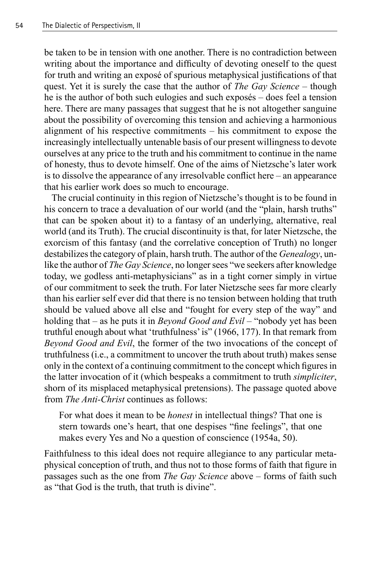be taken to be in tension with one another. There is no contradiction between writing about the importance and difficulty of devoting oneself to the quest for truth and writing an exposé of spurious metaphysical justifications of that quest. Yet it is surely the case that the author of *The Gay Science* – though he is the author of both such eulogies and such exposés – does feel a tension here. There are many passages that suggest that he is not altogether sanguine about the possibility of overcoming this tension and achieving a harmonious alignment of his respective commitments – his commitment to expose the increasingly intellectually untenable basis of our present willingness to devote ourselves at any price to the truth and his commitment to continue in the name of honesty, thus to devote himself. One of the aims of Nietzsche's later work is to dissolve the appearance of any irresolvable conflict here – an appearance that his earlier work does so much to encourage.

The crucial continuity in this region of Nietzsche's thought is to be found in his concern to trace a devaluation of our world (and the "plain, harsh truths" that can be spoken about it) to a fantasy of an underlying, alternative, real world (and its Truth). The crucial discontinuity is that, for later Nietzsche, the exorcism of this fantasy (and the correlative conception of Truth) no longer destabilizes the category of plain, harsh truth. The author of the *Genealogy*, unlike the author of *The Gay Science*, no longer sees "we seekers after knowledge today, we godless anti-metaphysicians" as in a tight corner simply in virtue of our commitment to seek the truth. For later Nietzsche sees far more clearly than his earlier self ever did that there is no tension between holding that truth should be valued above all else and "fought for every step of the way" and holding that – as he puts it in *Beyond Good and Evil* – "nobody yet has been truthful enough about what 'truthfulness' is" (1966, 177). In that remark from *Beyond Good and Evil*, the former of the two invocations of the concept of truthfulness (i.e., a commitment to uncover the truth about truth) makes sense only in the context of a continuing commitment to the concept which figures in the latter invocation of it (which bespeaks a commitment to truth *simpliciter*, shorn of its misplaced metaphysical pretensions). The passage quoted above from *The Anti-Christ* continues as follows:

For what does it mean to be *honest* in intellectual things? That one is stern towards one's heart, that one despises "fine feelings", that one makes every Yes and No a question of conscience (1954a, 50).

Faithfulness to this ideal does not require allegiance to any particular metaphysical conception of truth, and thus not to those forms of faith that figure in passages such as the one from *The Gay Science* above – forms of faith such as "that God is the truth, that truth is divine".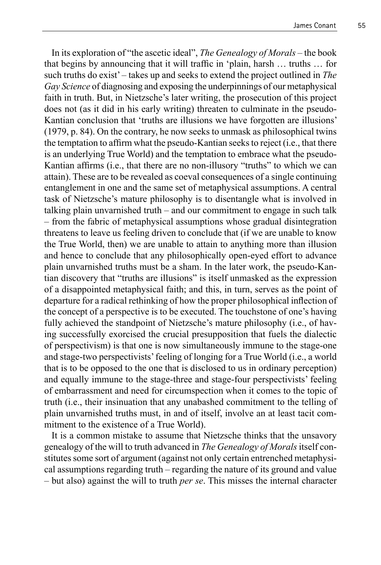In its exploration of "the ascetic ideal", *The Genealogy of Morals* – the book that begins by announcing that it will traffic in 'plain, harsh … truths … for such truths do exist' – takes up and seeks to extend the project outlined in *The Gay Science* of diagnosing and exposing the underpinnings of our metaphysical faith in truth. But, in Nietzsche's later writing, the prosecution of this project does not (as it did in his early writing) threaten to culminate in the pseudo-Kantian conclusion that 'truths are illusions we have forgotten are illusions' (1979, p. 84). On the contrary, he now seeks to unmask as philosophical twins the temptation to affirm what the pseudo-Kantian seeks to reject (i.e., that there is an underlying True World) and the temptation to embrace what the pseudo-Kantian affirms (i.e., that there are no non-illusory "truths" to which we can attain). These are to be revealed as coeval consequences of a single continuing entanglement in one and the same set of metaphysical assumptions. A central task of Nietzsche's mature philosophy is to disentangle what is involved in talking plain unvarnished truth – and our commitment to engage in such talk – from the fabric of metaphysical assumptions whose gradual disintegration threatens to leave us feeling driven to conclude that (if we are unable to know the True World, then) we are unable to attain to anything more than illusion and hence to conclude that any philosophically open-eyed effort to advance plain unvarnished truths must be a sham. In the later work, the pseudo-Kantian discovery that "truths are illusions" is itself unmasked as the expression of a disappointed metaphysical faith; and this, in turn, serves as the point of departure for a radical rethinking of how the proper philosophical inflection of the concept of a perspective is to be executed. The touchstone of one's having fully achieved the standpoint of Nietzsche's mature philosophy (i.e., of having successfully exorcised the crucial presupposition that fuels the dialectic of perspectivism) is that one is now simultaneously immune to the stage-one and stage-two perspectivists' feeling of longing for a True World (i.e., a world that is to be opposed to the one that is disclosed to us in ordinary perception) and equally immune to the stage-three and stage-four perspectivists' feeling of embarrassment and need for circumspection when it comes to the topic of truth (i.e., their insinuation that any unabashed commitment to the telling of plain unvarnished truths must, in and of itself, involve an at least tacit commitment to the existence of a True World).

It is a common mistake to assume that Nietzsche thinks that the unsavory genealogy of the will to truth advanced in *The Genealogy of Morals* itself constitutes some sort of argument (against not only certain entrenched metaphysical assumptions regarding truth – regarding the nature of its ground and value – but also) against the will to truth *per se*. This misses the internal character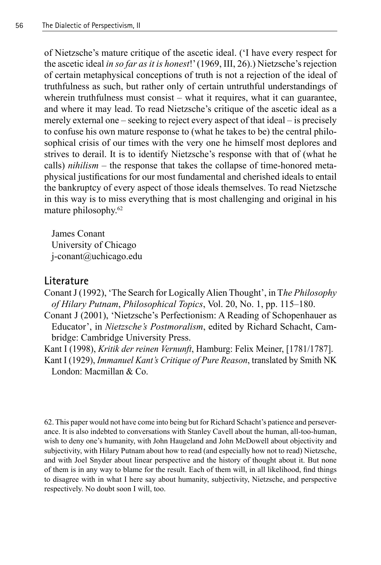of Nietzsche's mature critique of the ascetic ideal. ('I have every respect for the ascetic ideal *in so far as it is honest*!' (1969, III, 26).) Nietzsche's rejection of certain metaphysical conceptions of truth is not a rejection of the ideal of truthfulness as such, but rather only of certain untruthful understandings of wherein truthfulness must consist – what it requires, what it can guarantee, and where it may lead. To read Nietzsche's critique of the ascetic ideal as a merely external one – seeking to reject every aspect of that ideal – is precisely to confuse his own mature response to (what he takes to be) the central philosophical crisis of our times with the very one he himself most deplores and strives to derail. It is to identify Nietzsche's response with that of (what he calls) *nihilism* – the response that takes the collapse of time-honored metaphysical justifications for our most fundamental and cherished ideals to entail the bankruptcy of every aspect of those ideals themselves. To read Nietzsche in this way is to miss everything that is most challenging and original in his mature philosophy.62

James Conant University of Chicago j-conant@uchicago.edu

#### **Literature**

Conant J (1992), 'The Search for Logically Alien Thought', in T*he Philosophy of Hilary Putnam*, *Philosophical Topics*, Vol. 20, No. 1, pp. 115–180.

Conant J (2001), 'Nietzsche's Perfectionism: A Reading of Schopenhauer as Educator', in *Nietzsche's Postmoralism*, edited by Richard Schacht, Cambridge: Cambridge University Press.

Kant I (1998), *Kritik der reinen Vernunft*, Hamburg: Felix Meiner, [1781/1787].

Kant I (1929), *Immanuel Kant's Critique of Pure Reason*, translated by Smith NK London: Macmillan & Co.

62. This paper would not have come into being but for Richard Schacht's patience and perseverance. It is also indebted to conversations with Stanley Cavell about the human, all-too-human, wish to deny one's humanity, with John Haugeland and John McDowell about objectivity and subjectivity, with Hilary Putnam about how to read (and especially how not to read) Nietzsche, and with Joel Snyder about linear perspective and the history of thought about it. But none of them is in any way to blame for the result. Each of them will, in all likelihood, find things to disagree with in what I here say about humanity, subjectivity, Nietzsche, and perspective respectively. No doubt soon I will, too.